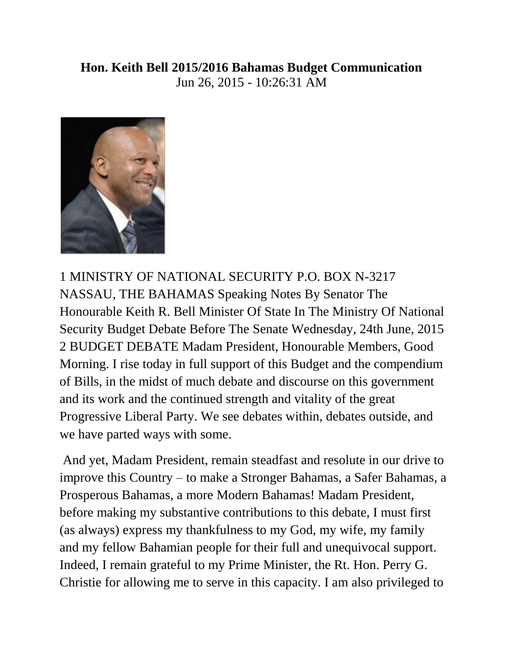## **Hon. Keith Bell 2015/2016 Bahamas Budget Communication**  Jun 26, 2015 - 10:26:31 AM



1 MINISTRY OF NATIONAL SECURITY P.O. BOX N-3217 NASSAU, THE BAHAMAS Speaking Notes By Senator The Honourable Keith R. Bell Minister Of State In The Ministry Of National Security Budget Debate Before The Senate Wednesday, 24th June, 2015 2 BUDGET DEBATE Madam President, Honourable Members, Good Morning. I rise today in full support of this Budget and the compendium of Bills, in the midst of much debate and discourse on this government and its work and the continued strength and vitality of the great Progressive Liberal Party. We see debates within, debates outside, and we have parted ways with some.

And yet, Madam President, remain steadfast and resolute in our drive to improve this Country – to make a Stronger Bahamas, a Safer Bahamas, a Prosperous Bahamas, a more Modern Bahamas! Madam President, before making my substantive contributions to this debate, I must first (as always) express my thankfulness to my God, my wife, my family and my fellow Bahamian people for their full and unequivocal support. Indeed, I remain grateful to my Prime Minister, the Rt. Hon. Perry G. Christie for allowing me to serve in this capacity. I am also privileged to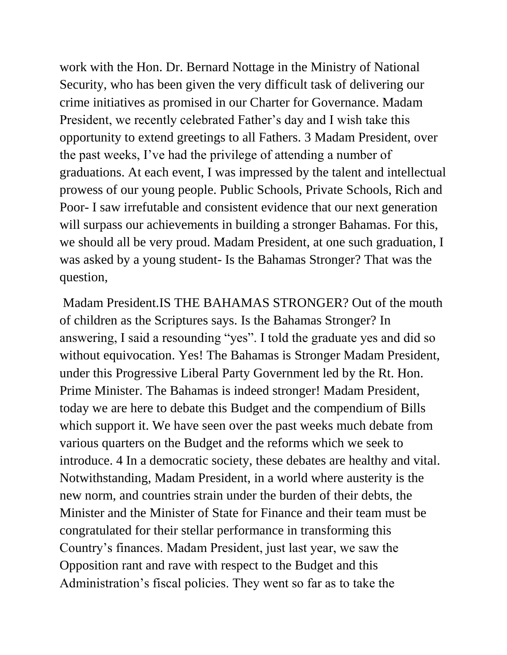work with the Hon. Dr. Bernard Nottage in the Ministry of National Security, who has been given the very difficult task of delivering our crime initiatives as promised in our Charter for Governance. Madam President, we recently celebrated Father's day and I wish take this opportunity to extend greetings to all Fathers. 3 Madam President, over the past weeks, I've had the privilege of attending a number of graduations. At each event, I was impressed by the talent and intellectual prowess of our young people. Public Schools, Private Schools, Rich and Poor- I saw irrefutable and consistent evidence that our next generation will surpass our achievements in building a stronger Bahamas. For this, we should all be very proud. Madam President, at one such graduation, I was asked by a young student- Is the Bahamas Stronger? That was the question,

Madam President.IS THE BAHAMAS STRONGER? Out of the mouth of children as the Scriptures says. Is the Bahamas Stronger? In answering, I said a resounding "yes". I told the graduate yes and did so without equivocation. Yes! The Bahamas is Stronger Madam President, under this Progressive Liberal Party Government led by the Rt. Hon. Prime Minister. The Bahamas is indeed stronger! Madam President, today we are here to debate this Budget and the compendium of Bills which support it. We have seen over the past weeks much debate from various quarters on the Budget and the reforms which we seek to introduce. 4 In a democratic society, these debates are healthy and vital. Notwithstanding, Madam President, in a world where austerity is the new norm, and countries strain under the burden of their debts, the Minister and the Minister of State for Finance and their team must be congratulated for their stellar performance in transforming this Country's finances. Madam President, just last year, we saw the Opposition rant and rave with respect to the Budget and this Administration's fiscal policies. They went so far as to take the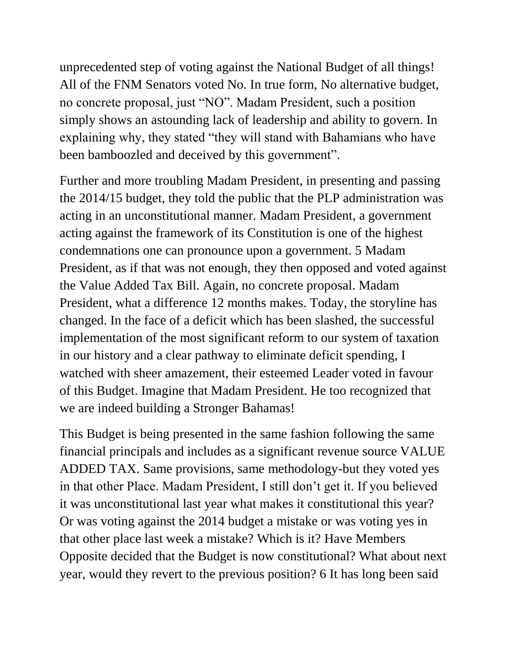unprecedented step of voting against the National Budget of all things! All of the FNM Senators voted No. In true form, No alternative budget, no concrete proposal, just "NO". Madam President, such a position simply shows an astounding lack of leadership and ability to govern. In explaining why, they stated "they will stand with Bahamians who have been bamboozled and deceived by this government".

Further and more troubling Madam President, in presenting and passing the 2014/15 budget, they told the public that the PLP administration was acting in an unconstitutional manner. Madam President, a government acting against the framework of its Constitution is one of the highest condemnations one can pronounce upon a government. 5 Madam President, as if that was not enough, they then opposed and voted against the Value Added Tax Bill. Again, no concrete proposal. Madam President, what a difference 12 months makes. Today, the storyline has changed. In the face of a deficit which has been slashed, the successful implementation of the most significant reform to our system of taxation in our history and a clear pathway to eliminate deficit spending, I watched with sheer amazement, their esteemed Leader voted in favour of this Budget. Imagine that Madam President. He too recognized that we are indeed building a Stronger Bahamas!

This Budget is being presented in the same fashion following the same financial principals and includes as a significant revenue source VALUE ADDED TAX. Same provisions, same methodology-but they voted yes in that other Place. Madam President, I still don't get it. If you believed it was unconstitutional last year what makes it constitutional this year? Or was voting against the 2014 budget a mistake or was voting yes in that other place last week a mistake? Which is it? Have Members Opposite decided that the Budget is now constitutional? What about next year, would they revert to the previous position? 6 It has long been said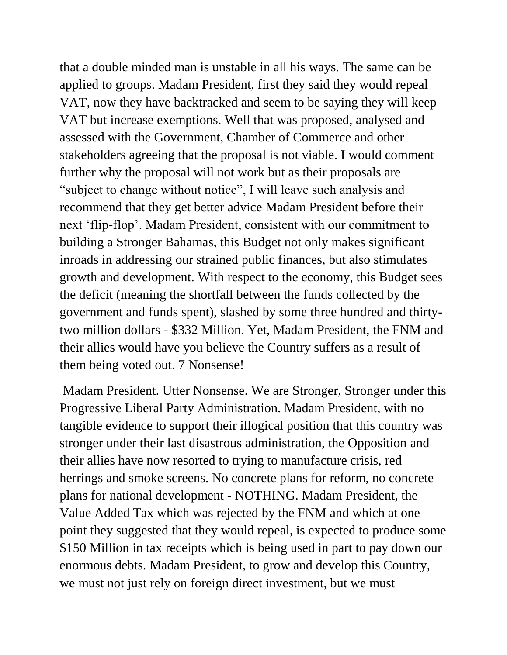that a double minded man is unstable in all his ways. The same can be applied to groups. Madam President, first they said they would repeal VAT, now they have backtracked and seem to be saying they will keep VAT but increase exemptions. Well that was proposed, analysed and assessed with the Government, Chamber of Commerce and other stakeholders agreeing that the proposal is not viable. I would comment further why the proposal will not work but as their proposals are "subject to change without notice", I will leave such analysis and recommend that they get better advice Madam President before their next 'flip-flop'. Madam President, consistent with our commitment to building a Stronger Bahamas, this Budget not only makes significant inroads in addressing our strained public finances, but also stimulates growth and development. With respect to the economy, this Budget sees the deficit (meaning the shortfall between the funds collected by the government and funds spent), slashed by some three hundred and thirtytwo million dollars - \$332 Million. Yet, Madam President, the FNM and their allies would have you believe the Country suffers as a result of them being voted out. 7 Nonsense!

Madam President. Utter Nonsense. We are Stronger, Stronger under this Progressive Liberal Party Administration. Madam President, with no tangible evidence to support their illogical position that this country was stronger under their last disastrous administration, the Opposition and their allies have now resorted to trying to manufacture crisis, red herrings and smoke screens. No concrete plans for reform, no concrete plans for national development - NOTHING. Madam President, the Value Added Tax which was rejected by the FNM and which at one point they suggested that they would repeal, is expected to produce some \$150 Million in tax receipts which is being used in part to pay down our enormous debts. Madam President, to grow and develop this Country, we must not just rely on foreign direct investment, but we must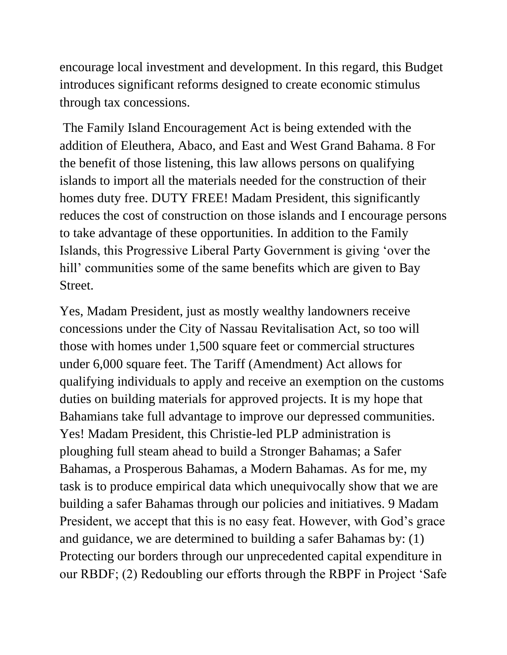encourage local investment and development. In this regard, this Budget introduces significant reforms designed to create economic stimulus through tax concessions.

The Family Island Encouragement Act is being extended with the addition of Eleuthera, Abaco, and East and West Grand Bahama. 8 For the benefit of those listening, this law allows persons on qualifying islands to import all the materials needed for the construction of their homes duty free. DUTY FREE! Madam President, this significantly reduces the cost of construction on those islands and I encourage persons to take advantage of these opportunities. In addition to the Family Islands, this Progressive Liberal Party Government is giving 'over the hill' communities some of the same benefits which are given to Bay Street.

Yes, Madam President, just as mostly wealthy landowners receive concessions under the City of Nassau Revitalisation Act, so too will those with homes under 1,500 square feet or commercial structures under 6,000 square feet. The Tariff (Amendment) Act allows for qualifying individuals to apply and receive an exemption on the customs duties on building materials for approved projects. It is my hope that Bahamians take full advantage to improve our depressed communities. Yes! Madam President, this Christie-led PLP administration is ploughing full steam ahead to build a Stronger Bahamas; a Safer Bahamas, a Prosperous Bahamas, a Modern Bahamas. As for me, my task is to produce empirical data which unequivocally show that we are building a safer Bahamas through our policies and initiatives. 9 Madam President, we accept that this is no easy feat. However, with God's grace and guidance, we are determined to building a safer Bahamas by: (1) Protecting our borders through our unprecedented capital expenditure in our RBDF; (2) Redoubling our efforts through the RBPF in Project 'Safe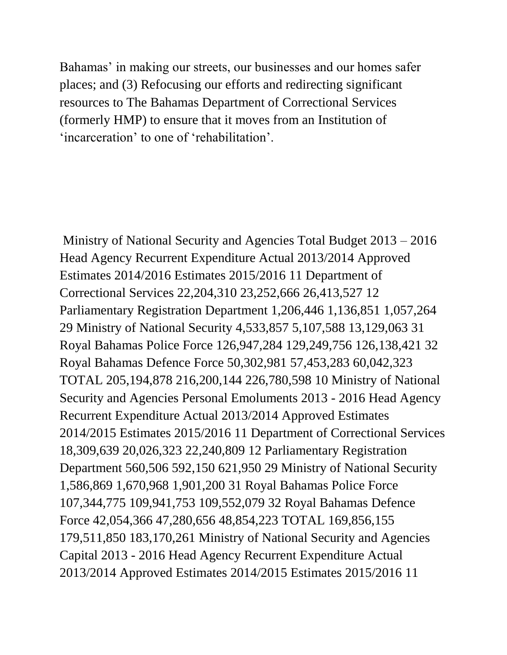Bahamas' in making our streets, our businesses and our homes safer places; and (3) Refocusing our efforts and redirecting significant resources to The Bahamas Department of Correctional Services (formerly HMP) to ensure that it moves from an Institution of 'incarceration' to one of 'rehabilitation'.

Ministry of National Security and Agencies Total Budget 2013 – 2016 Head Agency Recurrent Expenditure Actual 2013/2014 Approved Estimates 2014/2016 Estimates 2015/2016 11 Department of Correctional Services 22,204,310 23,252,666 26,413,527 12 Parliamentary Registration Department 1,206,446 1,136,851 1,057,264 29 Ministry of National Security 4,533,857 5,107,588 13,129,063 31 Royal Bahamas Police Force 126,947,284 129,249,756 126,138,421 32 Royal Bahamas Defence Force 50,302,981 57,453,283 60,042,323 TOTAL 205,194,878 216,200,144 226,780,598 10 Ministry of National Security and Agencies Personal Emoluments 2013 - 2016 Head Agency Recurrent Expenditure Actual 2013/2014 Approved Estimates 2014/2015 Estimates 2015/2016 11 Department of Correctional Services 18,309,639 20,026,323 22,240,809 12 Parliamentary Registration Department 560,506 592,150 621,950 29 Ministry of National Security 1,586,869 1,670,968 1,901,200 31 Royal Bahamas Police Force 107,344,775 109,941,753 109,552,079 32 Royal Bahamas Defence Force 42,054,366 47,280,656 48,854,223 TOTAL 169,856,155 179,511,850 183,170,261 Ministry of National Security and Agencies Capital 2013 - 2016 Head Agency Recurrent Expenditure Actual 2013/2014 Approved Estimates 2014/2015 Estimates 2015/2016 11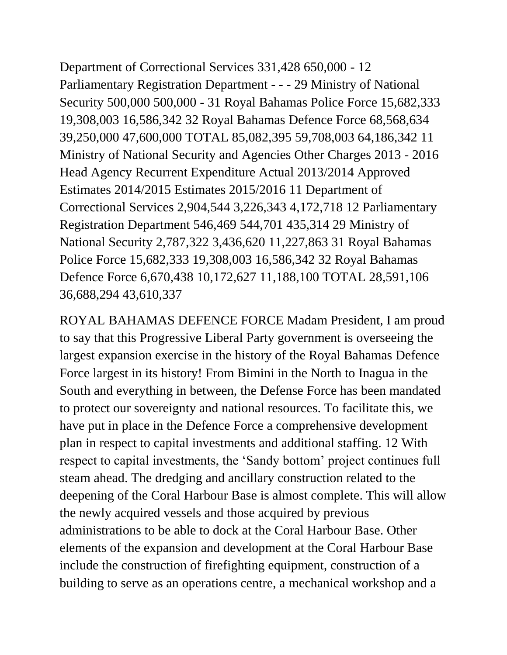Department of Correctional Services 331,428 650,000 - 12 Parliamentary Registration Department - - - 29 Ministry of National Security 500,000 500,000 - 31 Royal Bahamas Police Force 15,682,333 19,308,003 16,586,342 32 Royal Bahamas Defence Force 68,568,634 39,250,000 47,600,000 TOTAL 85,082,395 59,708,003 64,186,342 11 Ministry of National Security and Agencies Other Charges 2013 - 2016 Head Agency Recurrent Expenditure Actual 2013/2014 Approved Estimates 2014/2015 Estimates 2015/2016 11 Department of Correctional Services 2,904,544 3,226,343 4,172,718 12 Parliamentary Registration Department 546,469 544,701 435,314 29 Ministry of National Security 2,787,322 3,436,620 11,227,863 31 Royal Bahamas Police Force 15,682,333 19,308,003 16,586,342 32 Royal Bahamas Defence Force 6,670,438 10,172,627 11,188,100 TOTAL 28,591,106 36,688,294 43,610,337

ROYAL BAHAMAS DEFENCE FORCE Madam President, I am proud to say that this Progressive Liberal Party government is overseeing the largest expansion exercise in the history of the Royal Bahamas Defence Force largest in its history! From Bimini in the North to Inagua in the South and everything in between, the Defense Force has been mandated to protect our sovereignty and national resources. To facilitate this, we have put in place in the Defence Force a comprehensive development plan in respect to capital investments and additional staffing. 12 With respect to capital investments, the 'Sandy bottom' project continues full steam ahead. The dredging and ancillary construction related to the deepening of the Coral Harbour Base is almost complete. This will allow the newly acquired vessels and those acquired by previous administrations to be able to dock at the Coral Harbour Base. Other elements of the expansion and development at the Coral Harbour Base include the construction of firefighting equipment, construction of a building to serve as an operations centre, a mechanical workshop and a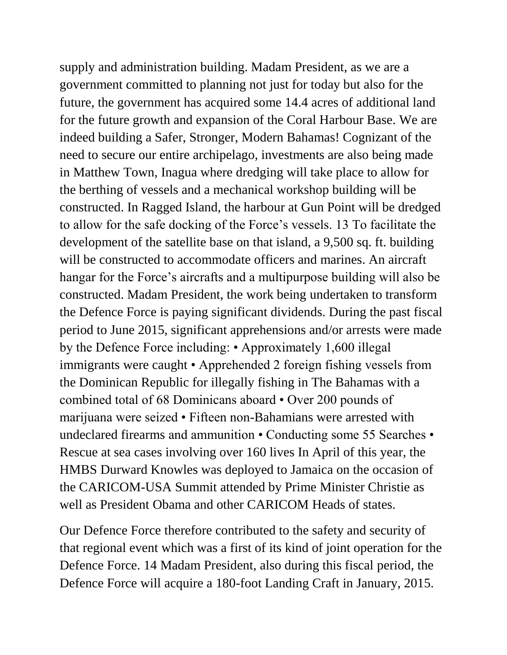supply and administration building. Madam President, as we are a government committed to planning not just for today but also for the future, the government has acquired some 14.4 acres of additional land for the future growth and expansion of the Coral Harbour Base. We are indeed building a Safer, Stronger, Modern Bahamas! Cognizant of the need to secure our entire archipelago, investments are also being made in Matthew Town, Inagua where dredging will take place to allow for the berthing of vessels and a mechanical workshop building will be constructed. In Ragged Island, the harbour at Gun Point will be dredged to allow for the safe docking of the Force's vessels. 13 To facilitate the development of the satellite base on that island, a 9,500 sq. ft. building will be constructed to accommodate officers and marines. An aircraft hangar for the Force's aircrafts and a multipurpose building will also be constructed. Madam President, the work being undertaken to transform the Defence Force is paying significant dividends. During the past fiscal period to June 2015, significant apprehensions and/or arrests were made by the Defence Force including: • Approximately 1,600 illegal immigrants were caught • Apprehended 2 foreign fishing vessels from the Dominican Republic for illegally fishing in The Bahamas with a combined total of 68 Dominicans aboard • Over 200 pounds of marijuana were seized • Fifteen non-Bahamians were arrested with undeclared firearms and ammunition • Conducting some 55 Searches • Rescue at sea cases involving over 160 lives In April of this year, the HMBS Durward Knowles was deployed to Jamaica on the occasion of the CARICOM-USA Summit attended by Prime Minister Christie as well as President Obama and other CARICOM Heads of states.

Our Defence Force therefore contributed to the safety and security of that regional event which was a first of its kind of joint operation for the Defence Force. 14 Madam President, also during this fiscal period, the Defence Force will acquire a 180-foot Landing Craft in January, 2015.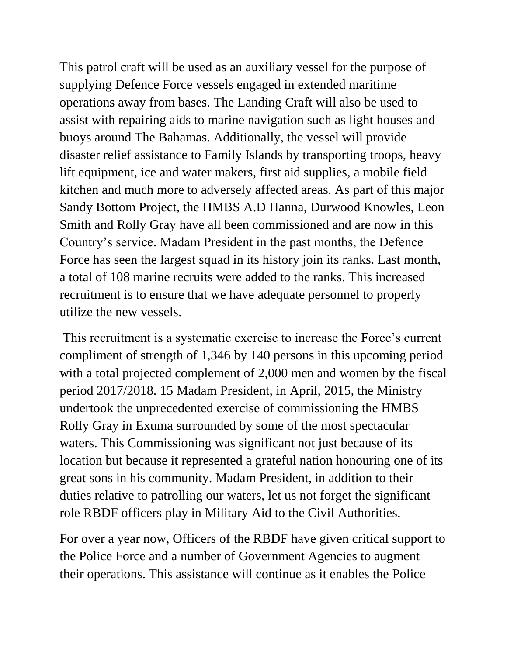This patrol craft will be used as an auxiliary vessel for the purpose of supplying Defence Force vessels engaged in extended maritime operations away from bases. The Landing Craft will also be used to assist with repairing aids to marine navigation such as light houses and buoys around The Bahamas. Additionally, the vessel will provide disaster relief assistance to Family Islands by transporting troops, heavy lift equipment, ice and water makers, first aid supplies, a mobile field kitchen and much more to adversely affected areas. As part of this major Sandy Bottom Project, the HMBS A.D Hanna, Durwood Knowles, Leon Smith and Rolly Gray have all been commissioned and are now in this Country's service. Madam President in the past months, the Defence Force has seen the largest squad in its history join its ranks. Last month, a total of 108 marine recruits were added to the ranks. This increased recruitment is to ensure that we have adequate personnel to properly utilize the new vessels.

This recruitment is a systematic exercise to increase the Force's current compliment of strength of 1,346 by 140 persons in this upcoming period with a total projected complement of 2,000 men and women by the fiscal period 2017/2018. 15 Madam President, in April, 2015, the Ministry undertook the unprecedented exercise of commissioning the HMBS Rolly Gray in Exuma surrounded by some of the most spectacular waters. This Commissioning was significant not just because of its location but because it represented a grateful nation honouring one of its great sons in his community. Madam President, in addition to their duties relative to patrolling our waters, let us not forget the significant role RBDF officers play in Military Aid to the Civil Authorities.

For over a year now, Officers of the RBDF have given critical support to the Police Force and a number of Government Agencies to augment their operations. This assistance will continue as it enables the Police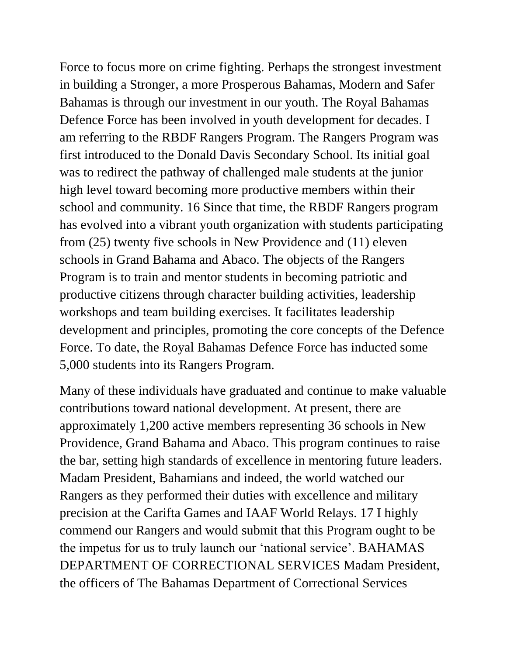Force to focus more on crime fighting. Perhaps the strongest investment in building a Stronger, a more Prosperous Bahamas, Modern and Safer Bahamas is through our investment in our youth. The Royal Bahamas Defence Force has been involved in youth development for decades. I am referring to the RBDF Rangers Program. The Rangers Program was first introduced to the Donald Davis Secondary School. Its initial goal was to redirect the pathway of challenged male students at the junior high level toward becoming more productive members within their school and community. 16 Since that time, the RBDF Rangers program has evolved into a vibrant youth organization with students participating from (25) twenty five schools in New Providence and (11) eleven schools in Grand Bahama and Abaco. The objects of the Rangers Program is to train and mentor students in becoming patriotic and productive citizens through character building activities, leadership workshops and team building exercises. It facilitates leadership development and principles, promoting the core concepts of the Defence Force. To date, the Royal Bahamas Defence Force has inducted some 5,000 students into its Rangers Program.

Many of these individuals have graduated and continue to make valuable contributions toward national development. At present, there are approximately 1,200 active members representing 36 schools in New Providence, Grand Bahama and Abaco. This program continues to raise the bar, setting high standards of excellence in mentoring future leaders. Madam President, Bahamians and indeed, the world watched our Rangers as they performed their duties with excellence and military precision at the Carifta Games and IAAF World Relays. 17 I highly commend our Rangers and would submit that this Program ought to be the impetus for us to truly launch our 'national service'. BAHAMAS DEPARTMENT OF CORRECTIONAL SERVICES Madam President, the officers of The Bahamas Department of Correctional Services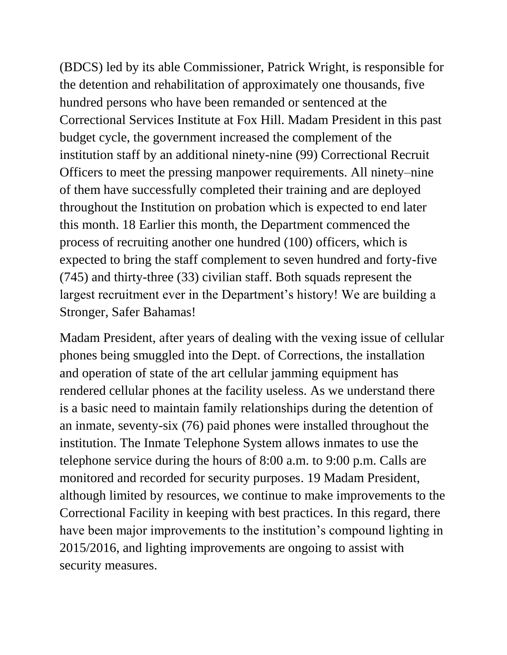(BDCS) led by its able Commissioner, Patrick Wright, is responsible for the detention and rehabilitation of approximately one thousands, five hundred persons who have been remanded or sentenced at the Correctional Services Institute at Fox Hill. Madam President in this past budget cycle, the government increased the complement of the institution staff by an additional ninety-nine (99) Correctional Recruit Officers to meet the pressing manpower requirements. All ninety–nine of them have successfully completed their training and are deployed throughout the Institution on probation which is expected to end later this month. 18 Earlier this month, the Department commenced the process of recruiting another one hundred (100) officers, which is expected to bring the staff complement to seven hundred and forty-five (745) and thirty-three (33) civilian staff. Both squads represent the largest recruitment ever in the Department's history! We are building a Stronger, Safer Bahamas!

Madam President, after years of dealing with the vexing issue of cellular phones being smuggled into the Dept. of Corrections, the installation and operation of state of the art cellular jamming equipment has rendered cellular phones at the facility useless. As we understand there is a basic need to maintain family relationships during the detention of an inmate, seventy-six (76) paid phones were installed throughout the institution. The Inmate Telephone System allows inmates to use the telephone service during the hours of 8:00 a.m. to 9:00 p.m. Calls are monitored and recorded for security purposes. 19 Madam President, although limited by resources, we continue to make improvements to the Correctional Facility in keeping with best practices. In this regard, there have been major improvements to the institution's compound lighting in 2015/2016, and lighting improvements are ongoing to assist with security measures.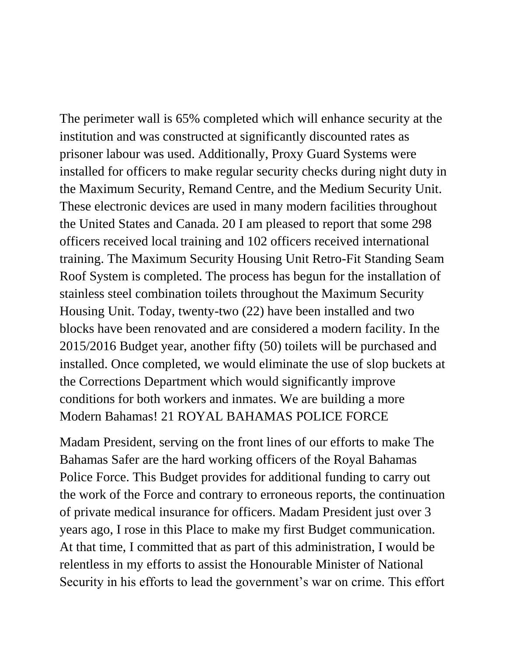The perimeter wall is 65% completed which will enhance security at the institution and was constructed at significantly discounted rates as prisoner labour was used. Additionally, Proxy Guard Systems were installed for officers to make regular security checks during night duty in the Maximum Security, Remand Centre, and the Medium Security Unit. These electronic devices are used in many modern facilities throughout the United States and Canada. 20 I am pleased to report that some 298 officers received local training and 102 officers received international training. The Maximum Security Housing Unit Retro-Fit Standing Seam Roof System is completed. The process has begun for the installation of stainless steel combination toilets throughout the Maximum Security Housing Unit. Today, twenty-two (22) have been installed and two blocks have been renovated and are considered a modern facility. In the 2015/2016 Budget year, another fifty (50) toilets will be purchased and installed. Once completed, we would eliminate the use of slop buckets at the Corrections Department which would significantly improve conditions for both workers and inmates. We are building a more Modern Bahamas! 21 ROYAL BAHAMAS POLICE FORCE

Madam President, serving on the front lines of our efforts to make The Bahamas Safer are the hard working officers of the Royal Bahamas Police Force. This Budget provides for additional funding to carry out the work of the Force and contrary to erroneous reports, the continuation of private medical insurance for officers. Madam President just over 3 years ago, I rose in this Place to make my first Budget communication. At that time, I committed that as part of this administration, I would be relentless in my efforts to assist the Honourable Minister of National Security in his efforts to lead the government's war on crime. This effort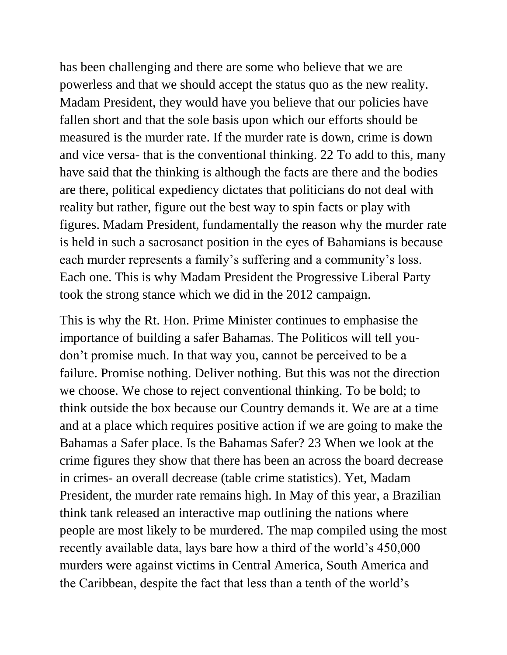has been challenging and there are some who believe that we are powerless and that we should accept the status quo as the new reality. Madam President, they would have you believe that our policies have fallen short and that the sole basis upon which our efforts should be measured is the murder rate. If the murder rate is down, crime is down and vice versa- that is the conventional thinking. 22 To add to this, many have said that the thinking is although the facts are there and the bodies are there, political expediency dictates that politicians do not deal with reality but rather, figure out the best way to spin facts or play with figures. Madam President, fundamentally the reason why the murder rate is held in such a sacrosanct position in the eyes of Bahamians is because each murder represents a family's suffering and a community's loss. Each one. This is why Madam President the Progressive Liberal Party took the strong stance which we did in the 2012 campaign.

This is why the Rt. Hon. Prime Minister continues to emphasise the importance of building a safer Bahamas. The Politicos will tell youdon't promise much. In that way you, cannot be perceived to be a failure. Promise nothing. Deliver nothing. But this was not the direction we choose. We chose to reject conventional thinking. To be bold; to think outside the box because our Country demands it. We are at a time and at a place which requires positive action if we are going to make the Bahamas a Safer place. Is the Bahamas Safer? 23 When we look at the crime figures they show that there has been an across the board decrease in crimes- an overall decrease (table crime statistics). Yet, Madam President, the murder rate remains high. In May of this year, a Brazilian think tank released an interactive map outlining the nations where people are most likely to be murdered. The map compiled using the most recently available data, lays bare how a third of the world's 450,000 murders were against victims in Central America, South America and the Caribbean, despite the fact that less than a tenth of the world's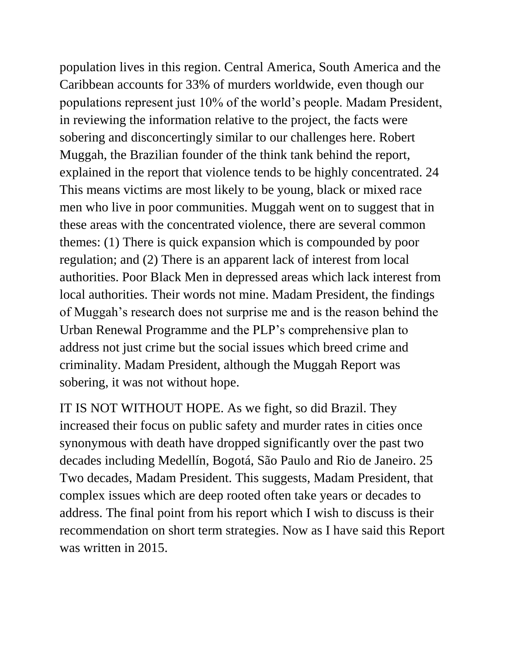population lives in this region. Central America, South America and the Caribbean accounts for 33% of murders worldwide, even though our populations represent just 10% of the world's people. Madam President, in reviewing the information relative to the project, the facts were sobering and disconcertingly similar to our challenges here. Robert Muggah, the Brazilian founder of the think tank behind the report, explained in the report that violence tends to be highly concentrated. 24 This means victims are most likely to be young, black or mixed race men who live in poor communities. Muggah went on to suggest that in these areas with the concentrated violence, there are several common themes: (1) There is quick expansion which is compounded by poor regulation; and (2) There is an apparent lack of interest from local authorities. Poor Black Men in depressed areas which lack interest from local authorities. Their words not mine. Madam President, the findings of Muggah's research does not surprise me and is the reason behind the Urban Renewal Programme and the PLP's comprehensive plan to address not just crime but the social issues which breed crime and criminality. Madam President, although the Muggah Report was sobering, it was not without hope.

IT IS NOT WITHOUT HOPE. As we fight, so did Brazil. They increased their focus on public safety and murder rates in cities once synonymous with death have dropped significantly over the past two decades including Medellín, Bogotá, São Paulo and Rio de Janeiro. 25 Two decades, Madam President. This suggests, Madam President, that complex issues which are deep rooted often take years or decades to address. The final point from his report which I wish to discuss is their recommendation on short term strategies. Now as I have said this Report was written in 2015.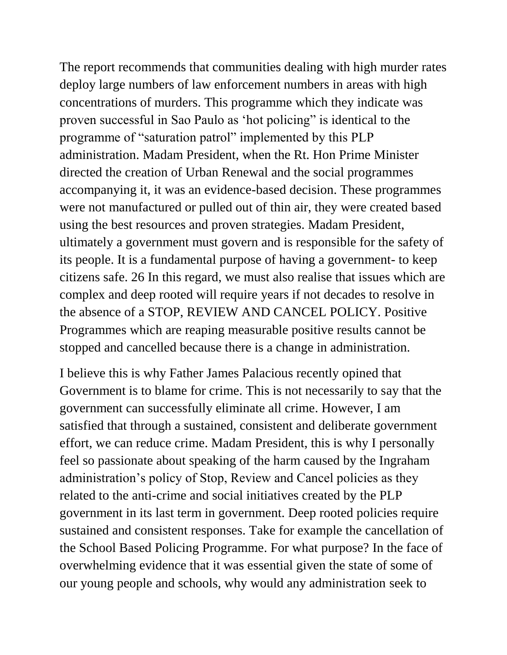The report recommends that communities dealing with high murder rates deploy large numbers of law enforcement numbers in areas with high concentrations of murders. This programme which they indicate was proven successful in Sao Paulo as 'hot policing" is identical to the programme of "saturation patrol" implemented by this PLP administration. Madam President, when the Rt. Hon Prime Minister directed the creation of Urban Renewal and the social programmes accompanying it, it was an evidence-based decision. These programmes were not manufactured or pulled out of thin air, they were created based using the best resources and proven strategies. Madam President, ultimately a government must govern and is responsible for the safety of its people. It is a fundamental purpose of having a government- to keep citizens safe. 26 In this regard, we must also realise that issues which are complex and deep rooted will require years if not decades to resolve in the absence of a STOP, REVIEW AND CANCEL POLICY. Positive Programmes which are reaping measurable positive results cannot be stopped and cancelled because there is a change in administration.

I believe this is why Father James Palacious recently opined that Government is to blame for crime. This is not necessarily to say that the government can successfully eliminate all crime. However, I am satisfied that through a sustained, consistent and deliberate government effort, we can reduce crime. Madam President, this is why I personally feel so passionate about speaking of the harm caused by the Ingraham administration's policy of Stop, Review and Cancel policies as they related to the anti-crime and social initiatives created by the PLP government in its last term in government. Deep rooted policies require sustained and consistent responses. Take for example the cancellation of the School Based Policing Programme. For what purpose? In the face of overwhelming evidence that it was essential given the state of some of our young people and schools, why would any administration seek to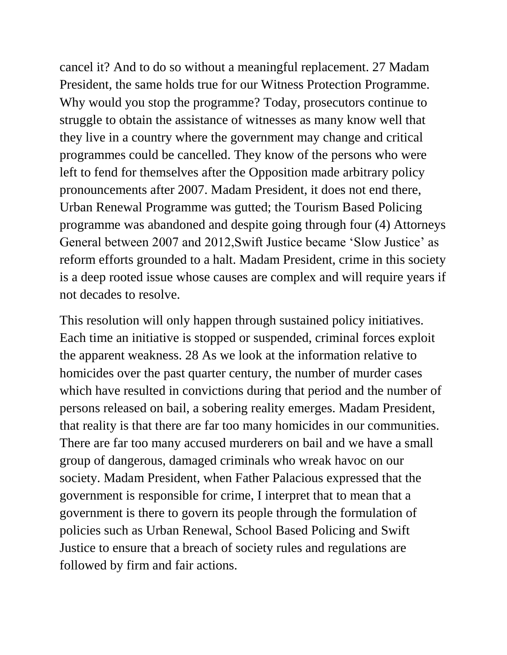cancel it? And to do so without a meaningful replacement. 27 Madam President, the same holds true for our Witness Protection Programme. Why would you stop the programme? Today, prosecutors continue to struggle to obtain the assistance of witnesses as many know well that they live in a country where the government may change and critical programmes could be cancelled. They know of the persons who were left to fend for themselves after the Opposition made arbitrary policy pronouncements after 2007. Madam President, it does not end there, Urban Renewal Programme was gutted; the Tourism Based Policing programme was abandoned and despite going through four (4) Attorneys General between 2007 and 2012,Swift Justice became 'Slow Justice' as reform efforts grounded to a halt. Madam President, crime in this society is a deep rooted issue whose causes are complex and will require years if not decades to resolve.

This resolution will only happen through sustained policy initiatives. Each time an initiative is stopped or suspended, criminal forces exploit the apparent weakness. 28 As we look at the information relative to homicides over the past quarter century, the number of murder cases which have resulted in convictions during that period and the number of persons released on bail, a sobering reality emerges. Madam President, that reality is that there are far too many homicides in our communities. There are far too many accused murderers on bail and we have a small group of dangerous, damaged criminals who wreak havoc on our society. Madam President, when Father Palacious expressed that the government is responsible for crime, I interpret that to mean that a government is there to govern its people through the formulation of policies such as Urban Renewal, School Based Policing and Swift Justice to ensure that a breach of society rules and regulations are followed by firm and fair actions.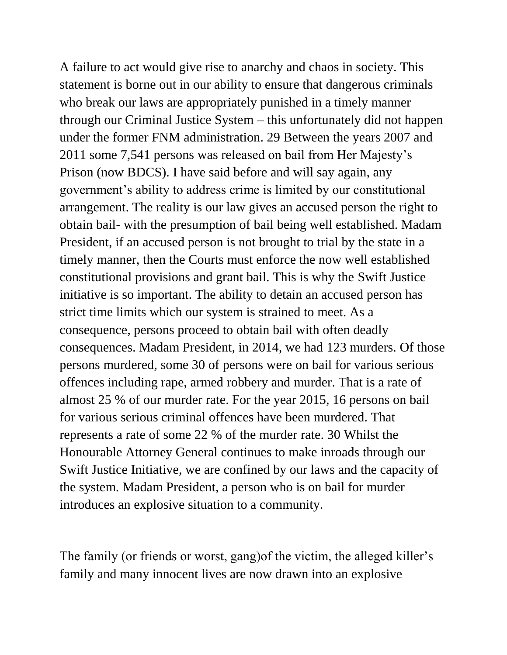A failure to act would give rise to anarchy and chaos in society. This statement is borne out in our ability to ensure that dangerous criminals who break our laws are appropriately punished in a timely manner through our Criminal Justice System – this unfortunately did not happen under the former FNM administration. 29 Between the years 2007 and 2011 some 7,541 persons was released on bail from Her Majesty's Prison (now BDCS). I have said before and will say again, any government's ability to address crime is limited by our constitutional arrangement. The reality is our law gives an accused person the right to obtain bail- with the presumption of bail being well established. Madam President, if an accused person is not brought to trial by the state in a timely manner, then the Courts must enforce the now well established constitutional provisions and grant bail. This is why the Swift Justice initiative is so important. The ability to detain an accused person has strict time limits which our system is strained to meet. As a consequence, persons proceed to obtain bail with often deadly consequences. Madam President, in 2014, we had 123 murders. Of those persons murdered, some 30 of persons were on bail for various serious offences including rape, armed robbery and murder. That is a rate of almost 25 % of our murder rate. For the year 2015, 16 persons on bail for various serious criminal offences have been murdered. That represents a rate of some 22 % of the murder rate. 30 Whilst the Honourable Attorney General continues to make inroads through our Swift Justice Initiative, we are confined by our laws and the capacity of the system. Madam President, a person who is on bail for murder introduces an explosive situation to a community.

The family (or friends or worst, gang)of the victim, the alleged killer's family and many innocent lives are now drawn into an explosive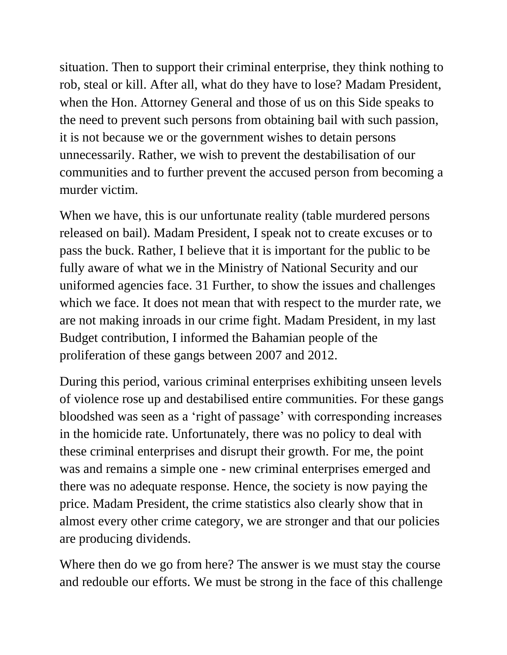situation. Then to support their criminal enterprise, they think nothing to rob, steal or kill. After all, what do they have to lose? Madam President, when the Hon. Attorney General and those of us on this Side speaks to the need to prevent such persons from obtaining bail with such passion, it is not because we or the government wishes to detain persons unnecessarily. Rather, we wish to prevent the destabilisation of our communities and to further prevent the accused person from becoming a murder victim.

When we have, this is our unfortunate reality (table murdered persons released on bail). Madam President, I speak not to create excuses or to pass the buck. Rather, I believe that it is important for the public to be fully aware of what we in the Ministry of National Security and our uniformed agencies face. 31 Further, to show the issues and challenges which we face. It does not mean that with respect to the murder rate, we are not making inroads in our crime fight. Madam President, in my last Budget contribution, I informed the Bahamian people of the proliferation of these gangs between 2007 and 2012.

During this period, various criminal enterprises exhibiting unseen levels of violence rose up and destabilised entire communities. For these gangs bloodshed was seen as a 'right of passage' with corresponding increases in the homicide rate. Unfortunately, there was no policy to deal with these criminal enterprises and disrupt their growth. For me, the point was and remains a simple one - new criminal enterprises emerged and there was no adequate response. Hence, the society is now paying the price. Madam President, the crime statistics also clearly show that in almost every other crime category, we are stronger and that our policies are producing dividends.

Where then do we go from here? The answer is we must stay the course and redouble our efforts. We must be strong in the face of this challenge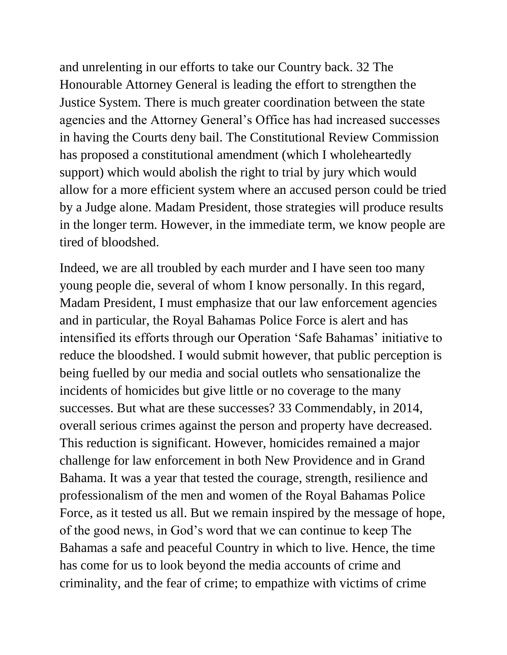and unrelenting in our efforts to take our Country back. 32 The Honourable Attorney General is leading the effort to strengthen the Justice System. There is much greater coordination between the state agencies and the Attorney General's Office has had increased successes in having the Courts deny bail. The Constitutional Review Commission has proposed a constitutional amendment (which I wholeheartedly support) which would abolish the right to trial by jury which would allow for a more efficient system where an accused person could be tried by a Judge alone. Madam President, those strategies will produce results in the longer term. However, in the immediate term, we know people are tired of bloodshed.

Indeed, we are all troubled by each murder and I have seen too many young people die, several of whom I know personally. In this regard, Madam President, I must emphasize that our law enforcement agencies and in particular, the Royal Bahamas Police Force is alert and has intensified its efforts through our Operation 'Safe Bahamas' initiative to reduce the bloodshed. I would submit however, that public perception is being fuelled by our media and social outlets who sensationalize the incidents of homicides but give little or no coverage to the many successes. But what are these successes? 33 Commendably, in 2014, overall serious crimes against the person and property have decreased. This reduction is significant. However, homicides remained a major challenge for law enforcement in both New Providence and in Grand Bahama. It was a year that tested the courage, strength, resilience and professionalism of the men and women of the Royal Bahamas Police Force, as it tested us all. But we remain inspired by the message of hope, of the good news, in God's word that we can continue to keep The Bahamas a safe and peaceful Country in which to live. Hence, the time has come for us to look beyond the media accounts of crime and criminality, and the fear of crime; to empathize with victims of crime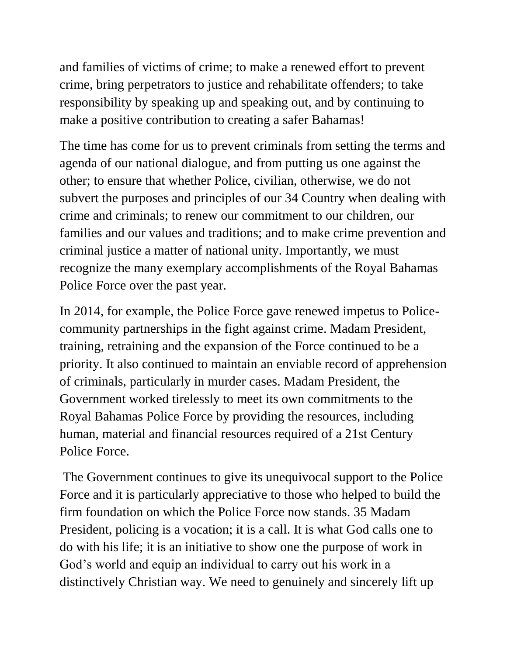and families of victims of crime; to make a renewed effort to prevent crime, bring perpetrators to justice and rehabilitate offenders; to take responsibility by speaking up and speaking out, and by continuing to make a positive contribution to creating a safer Bahamas!

The time has come for us to prevent criminals from setting the terms and agenda of our national dialogue, and from putting us one against the other; to ensure that whether Police, civilian, otherwise, we do not subvert the purposes and principles of our 34 Country when dealing with crime and criminals; to renew our commitment to our children, our families and our values and traditions; and to make crime prevention and criminal justice a matter of national unity. Importantly, we must recognize the many exemplary accomplishments of the Royal Bahamas Police Force over the past year.

In 2014, for example, the Police Force gave renewed impetus to Policecommunity partnerships in the fight against crime. Madam President, training, retraining and the expansion of the Force continued to be a priority. It also continued to maintain an enviable record of apprehension of criminals, particularly in murder cases. Madam President, the Government worked tirelessly to meet its own commitments to the Royal Bahamas Police Force by providing the resources, including human, material and financial resources required of a 21st Century Police Force.

The Government continues to give its unequivocal support to the Police Force and it is particularly appreciative to those who helped to build the firm foundation on which the Police Force now stands. 35 Madam President, policing is a vocation; it is a call. It is what God calls one to do with his life; it is an initiative to show one the purpose of work in God's world and equip an individual to carry out his work in a distinctively Christian way. We need to genuinely and sincerely lift up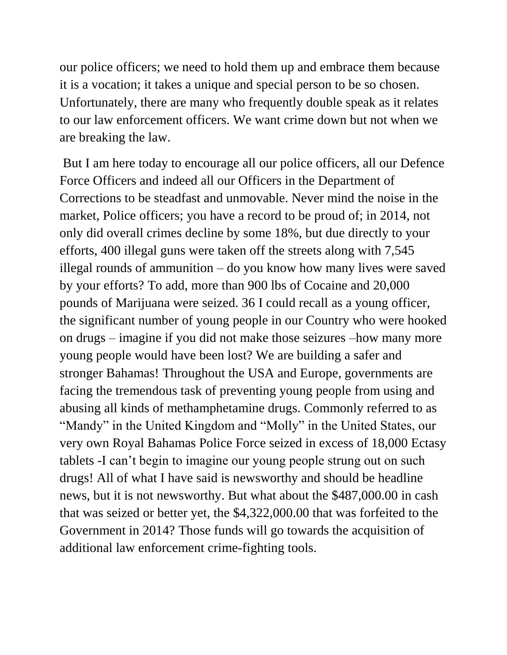our police officers; we need to hold them up and embrace them because it is a vocation; it takes a unique and special person to be so chosen. Unfortunately, there are many who frequently double speak as it relates to our law enforcement officers. We want crime down but not when we are breaking the law.

But I am here today to encourage all our police officers, all our Defence Force Officers and indeed all our Officers in the Department of Corrections to be steadfast and unmovable. Never mind the noise in the market, Police officers; you have a record to be proud of; in 2014, not only did overall crimes decline by some 18%, but due directly to your efforts, 400 illegal guns were taken off the streets along with 7,545 illegal rounds of ammunition – do you know how many lives were saved by your efforts? To add, more than 900 lbs of Cocaine and 20,000 pounds of Marijuana were seized. 36 I could recall as a young officer, the significant number of young people in our Country who were hooked on drugs – imagine if you did not make those seizures –how many more young people would have been lost? We are building a safer and stronger Bahamas! Throughout the USA and Europe, governments are facing the tremendous task of preventing young people from using and abusing all kinds of methamphetamine drugs. Commonly referred to as "Mandy" in the United Kingdom and "Molly" in the United States, our very own Royal Bahamas Police Force seized in excess of 18,000 Ectasy tablets -I can't begin to imagine our young people strung out on such drugs! All of what I have said is newsworthy and should be headline news, but it is not newsworthy. But what about the \$487,000.00 in cash that was seized or better yet, the \$4,322,000.00 that was forfeited to the Government in 2014? Those funds will go towards the acquisition of additional law enforcement crime-fighting tools.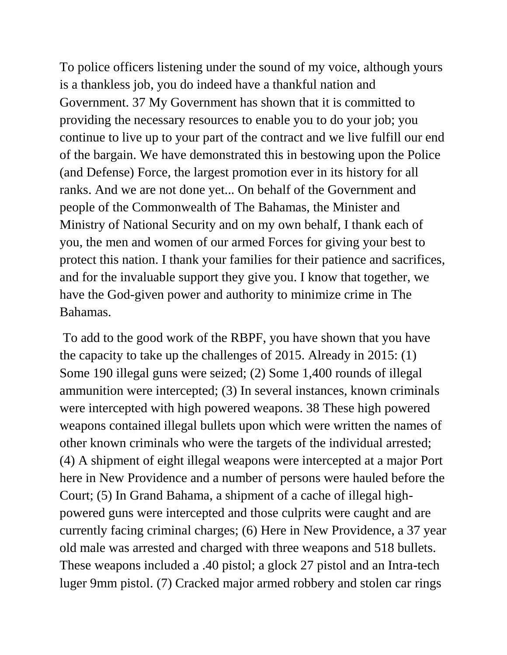To police officers listening under the sound of my voice, although yours is a thankless job, you do indeed have a thankful nation and Government. 37 My Government has shown that it is committed to providing the necessary resources to enable you to do your job; you continue to live up to your part of the contract and we live fulfill our end of the bargain. We have demonstrated this in bestowing upon the Police (and Defense) Force, the largest promotion ever in its history for all ranks. And we are not done yet... On behalf of the Government and people of the Commonwealth of The Bahamas, the Minister and Ministry of National Security and on my own behalf, I thank each of you, the men and women of our armed Forces for giving your best to protect this nation. I thank your families for their patience and sacrifices, and for the invaluable support they give you. I know that together, we have the God-given power and authority to minimize crime in The Bahamas.

To add to the good work of the RBPF, you have shown that you have the capacity to take up the challenges of 2015. Already in 2015: (1) Some 190 illegal guns were seized; (2) Some 1,400 rounds of illegal ammunition were intercepted; (3) In several instances, known criminals were intercepted with high powered weapons. 38 These high powered weapons contained illegal bullets upon which were written the names of other known criminals who were the targets of the individual arrested; (4) A shipment of eight illegal weapons were intercepted at a major Port here in New Providence and a number of persons were hauled before the Court; (5) In Grand Bahama, a shipment of a cache of illegal highpowered guns were intercepted and those culprits were caught and are currently facing criminal charges; (6) Here in New Providence, a 37 year old male was arrested and charged with three weapons and 518 bullets. These weapons included a .40 pistol; a glock 27 pistol and an Intra-tech luger 9mm pistol. (7) Cracked major armed robbery and stolen car rings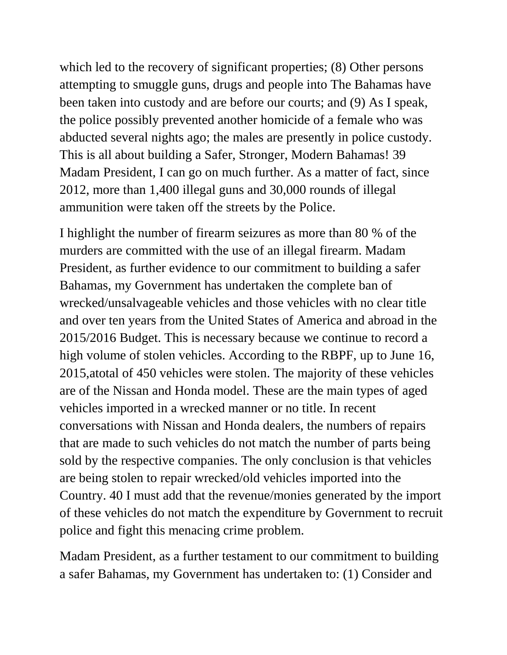which led to the recovery of significant properties; (8) Other persons attempting to smuggle guns, drugs and people into The Bahamas have been taken into custody and are before our courts; and (9) As I speak, the police possibly prevented another homicide of a female who was abducted several nights ago; the males are presently in police custody. This is all about building a Safer, Stronger, Modern Bahamas! 39 Madam President, I can go on much further. As a matter of fact, since 2012, more than 1,400 illegal guns and 30,000 rounds of illegal ammunition were taken off the streets by the Police.

I highlight the number of firearm seizures as more than 80 % of the murders are committed with the use of an illegal firearm. Madam President, as further evidence to our commitment to building a safer Bahamas, my Government has undertaken the complete ban of wrecked/unsalvageable vehicles and those vehicles with no clear title and over ten years from the United States of America and abroad in the 2015/2016 Budget. This is necessary because we continue to record a high volume of stolen vehicles. According to the RBPF, up to June 16, 2015,atotal of 450 vehicles were stolen. The majority of these vehicles are of the Nissan and Honda model. These are the main types of aged vehicles imported in a wrecked manner or no title. In recent conversations with Nissan and Honda dealers, the numbers of repairs that are made to such vehicles do not match the number of parts being sold by the respective companies. The only conclusion is that vehicles are being stolen to repair wrecked/old vehicles imported into the Country. 40 I must add that the revenue/monies generated by the import of these vehicles do not match the expenditure by Government to recruit police and fight this menacing crime problem.

Madam President, as a further testament to our commitment to building a safer Bahamas, my Government has undertaken to: (1) Consider and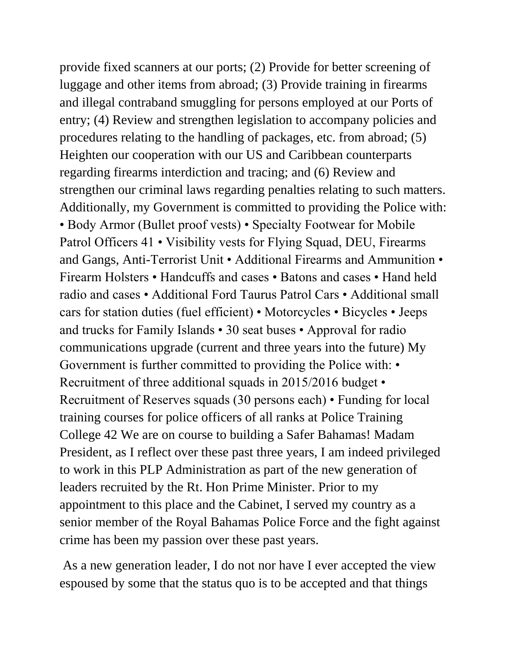provide fixed scanners at our ports; (2) Provide for better screening of luggage and other items from abroad; (3) Provide training in firearms and illegal contraband smuggling for persons employed at our Ports of entry; (4) Review and strengthen legislation to accompany policies and procedures relating to the handling of packages, etc. from abroad; (5) Heighten our cooperation with our US and Caribbean counterparts regarding firearms interdiction and tracing; and (6) Review and strengthen our criminal laws regarding penalties relating to such matters. Additionally, my Government is committed to providing the Police with: • Body Armor (Bullet proof vests) • Specialty Footwear for Mobile Patrol Officers 41 • Visibility vests for Flying Squad, DEU, Firearms and Gangs, Anti-Terrorist Unit • Additional Firearms and Ammunition • Firearm Holsters • Handcuffs and cases • Batons and cases • Hand held radio and cases • Additional Ford Taurus Patrol Cars • Additional small cars for station duties (fuel efficient) • Motorcycles • Bicycles • Jeeps and trucks for Family Islands • 30 seat buses • Approval for radio communications upgrade (current and three years into the future) My Government is further committed to providing the Police with: • Recruitment of three additional squads in 2015/2016 budget • Recruitment of Reserves squads (30 persons each) • Funding for local training courses for police officers of all ranks at Police Training College 42 We are on course to building a Safer Bahamas! Madam President, as I reflect over these past three years, I am indeed privileged to work in this PLP Administration as part of the new generation of leaders recruited by the Rt. Hon Prime Minister. Prior to my appointment to this place and the Cabinet, I served my country as a senior member of the Royal Bahamas Police Force and the fight against crime has been my passion over these past years.

As a new generation leader, I do not nor have I ever accepted the view espoused by some that the status quo is to be accepted and that things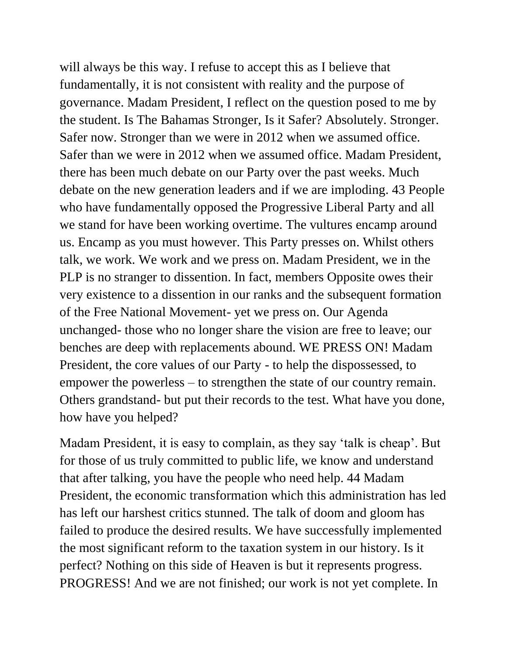will always be this way. I refuse to accept this as I believe that fundamentally, it is not consistent with reality and the purpose of governance. Madam President, I reflect on the question posed to me by the student. Is The Bahamas Stronger, Is it Safer? Absolutely. Stronger. Safer now. Stronger than we were in 2012 when we assumed office. Safer than we were in 2012 when we assumed office. Madam President, there has been much debate on our Party over the past weeks. Much debate on the new generation leaders and if we are imploding. 43 People who have fundamentally opposed the Progressive Liberal Party and all we stand for have been working overtime. The vultures encamp around us. Encamp as you must however. This Party presses on. Whilst others talk, we work. We work and we press on. Madam President, we in the PLP is no stranger to dissention. In fact, members Opposite owes their very existence to a dissention in our ranks and the subsequent formation of the Free National Movement- yet we press on. Our Agenda unchanged- those who no longer share the vision are free to leave; our benches are deep with replacements abound. WE PRESS ON! Madam President, the core values of our Party - to help the dispossessed, to empower the powerless – to strengthen the state of our country remain. Others grandstand- but put their records to the test. What have you done, how have you helped?

Madam President, it is easy to complain, as they say 'talk is cheap'. But for those of us truly committed to public life, we know and understand that after talking, you have the people who need help. 44 Madam President, the economic transformation which this administration has led has left our harshest critics stunned. The talk of doom and gloom has failed to produce the desired results. We have successfully implemented the most significant reform to the taxation system in our history. Is it perfect? Nothing on this side of Heaven is but it represents progress. PROGRESS! And we are not finished; our work is not yet complete. In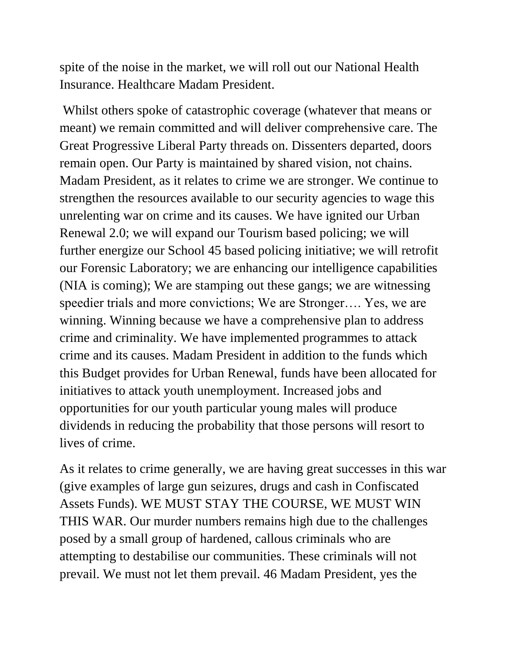spite of the noise in the market, we will roll out our National Health Insurance. Healthcare Madam President.

Whilst others spoke of catastrophic coverage (whatever that means or meant) we remain committed and will deliver comprehensive care. The Great Progressive Liberal Party threads on. Dissenters departed, doors remain open. Our Party is maintained by shared vision, not chains. Madam President, as it relates to crime we are stronger. We continue to strengthen the resources available to our security agencies to wage this unrelenting war on crime and its causes. We have ignited our Urban Renewal 2.0; we will expand our Tourism based policing; we will further energize our School 45 based policing initiative; we will retrofit our Forensic Laboratory; we are enhancing our intelligence capabilities (NIA is coming); We are stamping out these gangs; we are witnessing speedier trials and more convictions; We are Stronger…. Yes, we are winning. Winning because we have a comprehensive plan to address crime and criminality. We have implemented programmes to attack crime and its causes. Madam President in addition to the funds which this Budget provides for Urban Renewal, funds have been allocated for initiatives to attack youth unemployment. Increased jobs and opportunities for our youth particular young males will produce dividends in reducing the probability that those persons will resort to lives of crime.

As it relates to crime generally, we are having great successes in this war (give examples of large gun seizures, drugs and cash in Confiscated Assets Funds). WE MUST STAY THE COURSE, WE MUST WIN THIS WAR. Our murder numbers remains high due to the challenges posed by a small group of hardened, callous criminals who are attempting to destabilise our communities. These criminals will not prevail. We must not let them prevail. 46 Madam President, yes the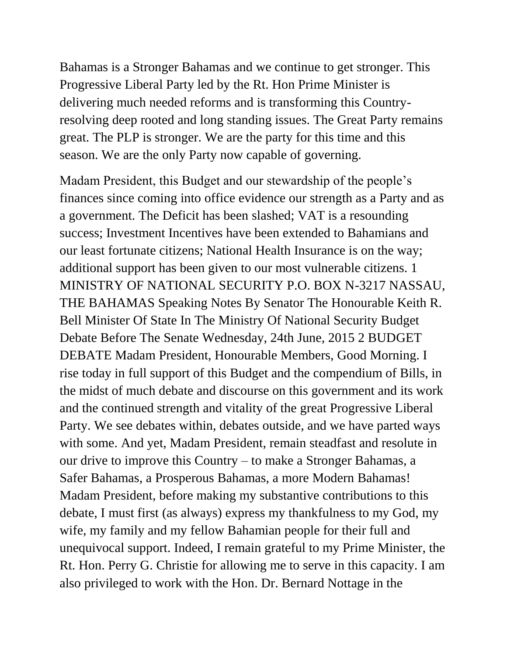Bahamas is a Stronger Bahamas and we continue to get stronger. This Progressive Liberal Party led by the Rt. Hon Prime Minister is delivering much needed reforms and is transforming this Countryresolving deep rooted and long standing issues. The Great Party remains great. The PLP is stronger. We are the party for this time and this season. We are the only Party now capable of governing.

Madam President, this Budget and our stewardship of the people's finances since coming into office evidence our strength as a Party and as a government. The Deficit has been slashed; VAT is a resounding success; Investment Incentives have been extended to Bahamians and our least fortunate citizens; National Health Insurance is on the way; additional support has been given to our most vulnerable citizens. 1 MINISTRY OF NATIONAL SECURITY P.O. BOX N-3217 NASSAU, THE BAHAMAS Speaking Notes By Senator The Honourable Keith R. Bell Minister Of State In The Ministry Of National Security Budget Debate Before The Senate Wednesday, 24th June, 2015 2 BUDGET DEBATE Madam President, Honourable Members, Good Morning. I rise today in full support of this Budget and the compendium of Bills, in the midst of much debate and discourse on this government and its work and the continued strength and vitality of the great Progressive Liberal Party. We see debates within, debates outside, and we have parted ways with some. And yet, Madam President, remain steadfast and resolute in our drive to improve this Country – to make a Stronger Bahamas, a Safer Bahamas, a Prosperous Bahamas, a more Modern Bahamas! Madam President, before making my substantive contributions to this debate, I must first (as always) express my thankfulness to my God, my wife, my family and my fellow Bahamian people for their full and unequivocal support. Indeed, I remain grateful to my Prime Minister, the Rt. Hon. Perry G. Christie for allowing me to serve in this capacity. I am also privileged to work with the Hon. Dr. Bernard Nottage in the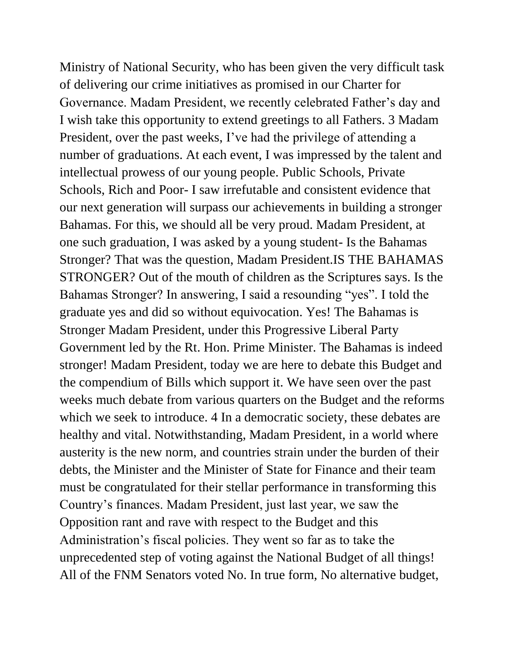Ministry of National Security, who has been given the very difficult task of delivering our crime initiatives as promised in our Charter for Governance. Madam President, we recently celebrated Father's day and I wish take this opportunity to extend greetings to all Fathers. 3 Madam President, over the past weeks, I've had the privilege of attending a number of graduations. At each event, I was impressed by the talent and intellectual prowess of our young people. Public Schools, Private Schools, Rich and Poor- I saw irrefutable and consistent evidence that our next generation will surpass our achievements in building a stronger Bahamas. For this, we should all be very proud. Madam President, at one such graduation, I was asked by a young student- Is the Bahamas Stronger? That was the question, Madam President.IS THE BAHAMAS STRONGER? Out of the mouth of children as the Scriptures says. Is the Bahamas Stronger? In answering, I said a resounding "yes". I told the graduate yes and did so without equivocation. Yes! The Bahamas is Stronger Madam President, under this Progressive Liberal Party Government led by the Rt. Hon. Prime Minister. The Bahamas is indeed stronger! Madam President, today we are here to debate this Budget and the compendium of Bills which support it. We have seen over the past weeks much debate from various quarters on the Budget and the reforms which we seek to introduce. 4 In a democratic society, these debates are healthy and vital. Notwithstanding, Madam President, in a world where austerity is the new norm, and countries strain under the burden of their debts, the Minister and the Minister of State for Finance and their team must be congratulated for their stellar performance in transforming this Country's finances. Madam President, just last year, we saw the Opposition rant and rave with respect to the Budget and this Administration's fiscal policies. They went so far as to take the unprecedented step of voting against the National Budget of all things! All of the FNM Senators voted No. In true form, No alternative budget,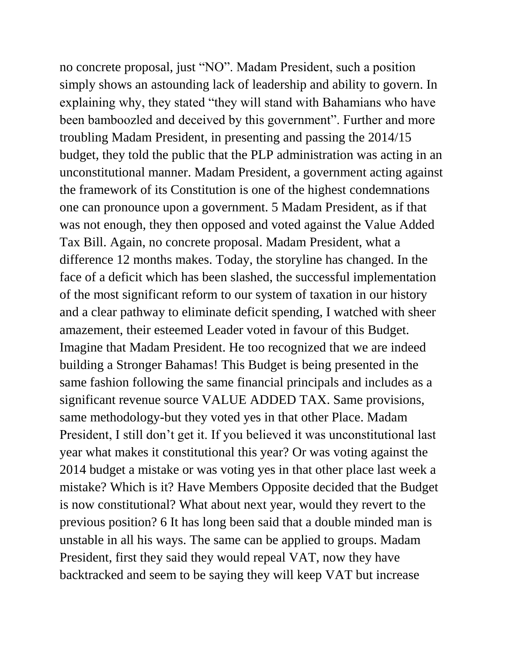no concrete proposal, just "NO". Madam President, such a position simply shows an astounding lack of leadership and ability to govern. In explaining why, they stated "they will stand with Bahamians who have been bamboozled and deceived by this government". Further and more troubling Madam President, in presenting and passing the 2014/15 budget, they told the public that the PLP administration was acting in an unconstitutional manner. Madam President, a government acting against the framework of its Constitution is one of the highest condemnations one can pronounce upon a government. 5 Madam President, as if that was not enough, they then opposed and voted against the Value Added Tax Bill. Again, no concrete proposal. Madam President, what a difference 12 months makes. Today, the storyline has changed. In the face of a deficit which has been slashed, the successful implementation of the most significant reform to our system of taxation in our history and a clear pathway to eliminate deficit spending, I watched with sheer amazement, their esteemed Leader voted in favour of this Budget. Imagine that Madam President. He too recognized that we are indeed building a Stronger Bahamas! This Budget is being presented in the same fashion following the same financial principals and includes as a significant revenue source VALUE ADDED TAX. Same provisions, same methodology-but they voted yes in that other Place. Madam President, I still don't get it. If you believed it was unconstitutional last year what makes it constitutional this year? Or was voting against the 2014 budget a mistake or was voting yes in that other place last week a mistake? Which is it? Have Members Opposite decided that the Budget is now constitutional? What about next year, would they revert to the previous position? 6 It has long been said that a double minded man is unstable in all his ways. The same can be applied to groups. Madam President, first they said they would repeal VAT, now they have backtracked and seem to be saying they will keep VAT but increase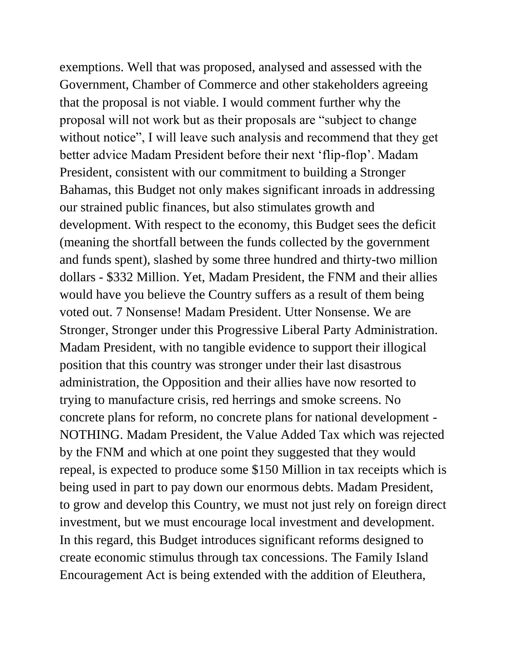exemptions. Well that was proposed, analysed and assessed with the Government, Chamber of Commerce and other stakeholders agreeing that the proposal is not viable. I would comment further why the proposal will not work but as their proposals are "subject to change without notice", I will leave such analysis and recommend that they get better advice Madam President before their next 'flip-flop'. Madam President, consistent with our commitment to building a Stronger Bahamas, this Budget not only makes significant inroads in addressing our strained public finances, but also stimulates growth and development. With respect to the economy, this Budget sees the deficit (meaning the shortfall between the funds collected by the government and funds spent), slashed by some three hundred and thirty-two million dollars - \$332 Million. Yet, Madam President, the FNM and their allies would have you believe the Country suffers as a result of them being voted out. 7 Nonsense! Madam President. Utter Nonsense. We are Stronger, Stronger under this Progressive Liberal Party Administration. Madam President, with no tangible evidence to support their illogical position that this country was stronger under their last disastrous administration, the Opposition and their allies have now resorted to trying to manufacture crisis, red herrings and smoke screens. No concrete plans for reform, no concrete plans for national development - NOTHING. Madam President, the Value Added Tax which was rejected by the FNM and which at one point they suggested that they would repeal, is expected to produce some \$150 Million in tax receipts which is being used in part to pay down our enormous debts. Madam President, to grow and develop this Country, we must not just rely on foreign direct investment, but we must encourage local investment and development. In this regard, this Budget introduces significant reforms designed to create economic stimulus through tax concessions. The Family Island Encouragement Act is being extended with the addition of Eleuthera,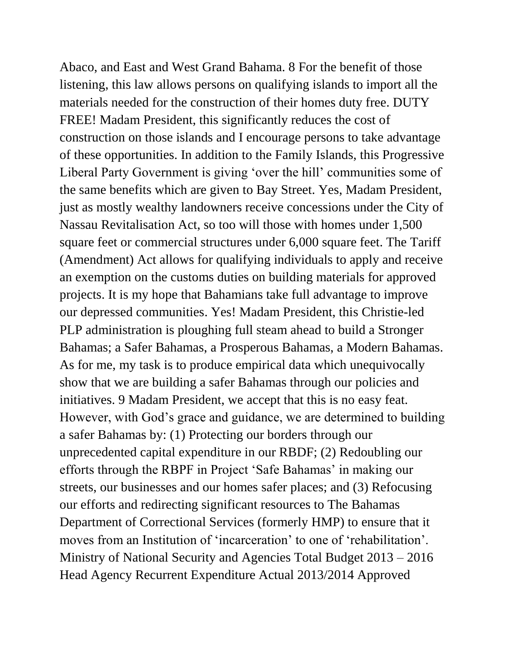Abaco, and East and West Grand Bahama. 8 For the benefit of those listening, this law allows persons on qualifying islands to import all the materials needed for the construction of their homes duty free. DUTY FREE! Madam President, this significantly reduces the cost of construction on those islands and I encourage persons to take advantage of these opportunities. In addition to the Family Islands, this Progressive Liberal Party Government is giving 'over the hill' communities some of the same benefits which are given to Bay Street. Yes, Madam President, just as mostly wealthy landowners receive concessions under the City of Nassau Revitalisation Act, so too will those with homes under 1,500 square feet or commercial structures under 6,000 square feet. The Tariff (Amendment) Act allows for qualifying individuals to apply and receive an exemption on the customs duties on building materials for approved projects. It is my hope that Bahamians take full advantage to improve our depressed communities. Yes! Madam President, this Christie-led PLP administration is ploughing full steam ahead to build a Stronger Bahamas; a Safer Bahamas, a Prosperous Bahamas, a Modern Bahamas. As for me, my task is to produce empirical data which unequivocally show that we are building a safer Bahamas through our policies and initiatives. 9 Madam President, we accept that this is no easy feat. However, with God's grace and guidance, we are determined to building a safer Bahamas by: (1) Protecting our borders through our unprecedented capital expenditure in our RBDF; (2) Redoubling our efforts through the RBPF in Project 'Safe Bahamas' in making our streets, our businesses and our homes safer places; and (3) Refocusing our efforts and redirecting significant resources to The Bahamas Department of Correctional Services (formerly HMP) to ensure that it moves from an Institution of 'incarceration' to one of 'rehabilitation'. Ministry of National Security and Agencies Total Budget 2013 – 2016 Head Agency Recurrent Expenditure Actual 2013/2014 Approved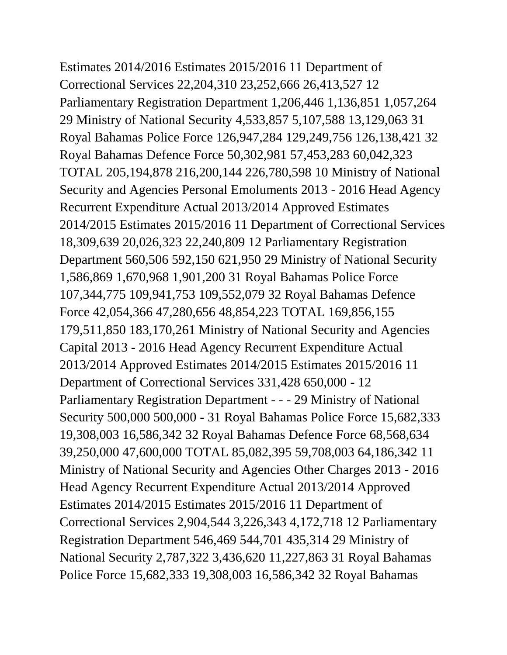Estimates 2014/2016 Estimates 2015/2016 11 Department of Correctional Services 22,204,310 23,252,666 26,413,527 12 Parliamentary Registration Department 1,206,446 1,136,851 1,057,264 29 Ministry of National Security 4,533,857 5,107,588 13,129,063 31 Royal Bahamas Police Force 126,947,284 129,249,756 126,138,421 32 Royal Bahamas Defence Force 50,302,981 57,453,283 60,042,323 TOTAL 205,194,878 216,200,144 226,780,598 10 Ministry of National Security and Agencies Personal Emoluments 2013 - 2016 Head Agency Recurrent Expenditure Actual 2013/2014 Approved Estimates 2014/2015 Estimates 2015/2016 11 Department of Correctional Services 18,309,639 20,026,323 22,240,809 12 Parliamentary Registration Department 560,506 592,150 621,950 29 Ministry of National Security 1,586,869 1,670,968 1,901,200 31 Royal Bahamas Police Force 107,344,775 109,941,753 109,552,079 32 Royal Bahamas Defence Force 42,054,366 47,280,656 48,854,223 TOTAL 169,856,155 179,511,850 183,170,261 Ministry of National Security and Agencies Capital 2013 - 2016 Head Agency Recurrent Expenditure Actual 2013/2014 Approved Estimates 2014/2015 Estimates 2015/2016 11 Department of Correctional Services 331,428 650,000 - 12 Parliamentary Registration Department - - - 29 Ministry of National Security 500,000 500,000 - 31 Royal Bahamas Police Force 15,682,333 19,308,003 16,586,342 32 Royal Bahamas Defence Force 68,568,634 39,250,000 47,600,000 TOTAL 85,082,395 59,708,003 64,186,342 11 Ministry of National Security and Agencies Other Charges 2013 - 2016 Head Agency Recurrent Expenditure Actual 2013/2014 Approved Estimates 2014/2015 Estimates 2015/2016 11 Department of Correctional Services 2,904,544 3,226,343 4,172,718 12 Parliamentary Registration Department 546,469 544,701 435,314 29 Ministry of National Security 2,787,322 3,436,620 11,227,863 31 Royal Bahamas Police Force 15,682,333 19,308,003 16,586,342 32 Royal Bahamas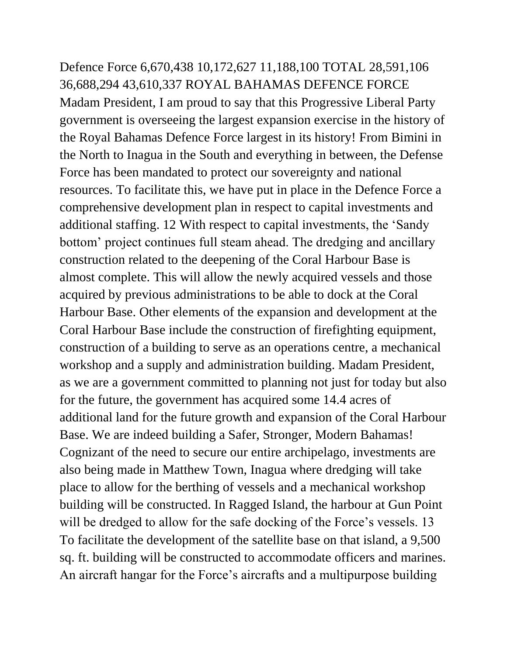Defence Force 6,670,438 10,172,627 11,188,100 TOTAL 28,591,106 36,688,294 43,610,337 ROYAL BAHAMAS DEFENCE FORCE Madam President, I am proud to say that this Progressive Liberal Party government is overseeing the largest expansion exercise in the history of the Royal Bahamas Defence Force largest in its history! From Bimini in the North to Inagua in the South and everything in between, the Defense Force has been mandated to protect our sovereignty and national resources. To facilitate this, we have put in place in the Defence Force a comprehensive development plan in respect to capital investments and additional staffing. 12 With respect to capital investments, the 'Sandy bottom' project continues full steam ahead. The dredging and ancillary construction related to the deepening of the Coral Harbour Base is almost complete. This will allow the newly acquired vessels and those acquired by previous administrations to be able to dock at the Coral Harbour Base. Other elements of the expansion and development at the Coral Harbour Base include the construction of firefighting equipment, construction of a building to serve as an operations centre, a mechanical workshop and a supply and administration building. Madam President, as we are a government committed to planning not just for today but also for the future, the government has acquired some 14.4 acres of additional land for the future growth and expansion of the Coral Harbour Base. We are indeed building a Safer, Stronger, Modern Bahamas! Cognizant of the need to secure our entire archipelago, investments are also being made in Matthew Town, Inagua where dredging will take place to allow for the berthing of vessels and a mechanical workshop building will be constructed. In Ragged Island, the harbour at Gun Point will be dredged to allow for the safe docking of the Force's vessels. 13 To facilitate the development of the satellite base on that island, a 9,500 sq. ft. building will be constructed to accommodate officers and marines. An aircraft hangar for the Force's aircrafts and a multipurpose building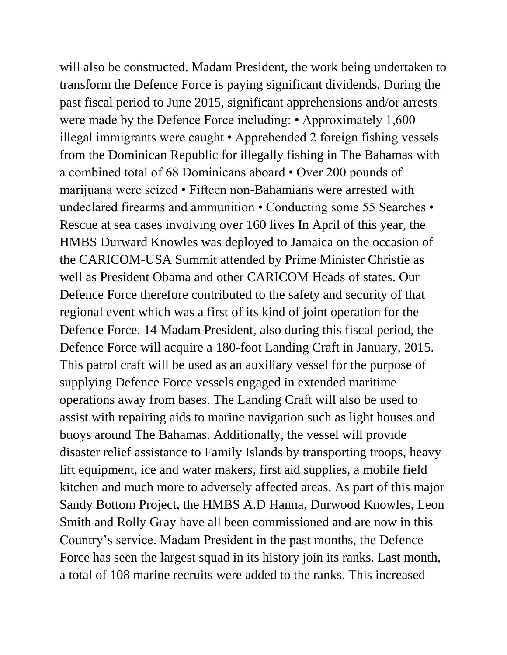will also be constructed. Madam President, the work being undertaken to transform the Defence Force is paying significant dividends. During the past fiscal period to June 2015, significant apprehensions and/or arrests were made by the Defence Force including: • Approximately 1,600 illegal immigrants were caught • Apprehended 2 foreign fishing vessels from the Dominican Republic for illegally fishing in The Bahamas with a combined total of 68 Dominicans aboard • Over 200 pounds of marijuana were seized • Fifteen non-Bahamians were arrested with undeclared firearms and ammunition • Conducting some 55 Searches • Rescue at sea cases involving over 160 lives In April of this year, the HMBS Durward Knowles was deployed to Jamaica on the occasion of the CARICOM-USA Summit attended by Prime Minister Christie as well as President Obama and other CARICOM Heads of states. Our Defence Force therefore contributed to the safety and security of that regional event which was a first of its kind of joint operation for the Defence Force. 14 Madam President, also during this fiscal period, the Defence Force will acquire a 180-foot Landing Craft in January, 2015. This patrol craft will be used as an auxiliary vessel for the purpose of supplying Defence Force vessels engaged in extended maritime operations away from bases. The Landing Craft will also be used to assist with repairing aids to marine navigation such as light houses and buoys around The Bahamas. Additionally, the vessel will provide disaster relief assistance to Family Islands by transporting troops, heavy lift equipment, ice and water makers, first aid supplies, a mobile field kitchen and much more to adversely affected areas. As part of this major Sandy Bottom Project, the HMBS A.D Hanna, Durwood Knowles, Leon Smith and Rolly Gray have all been commissioned and are now in this Country's service. Madam President in the past months, the Defence Force has seen the largest squad in its history join its ranks. Last month, a total of 108 marine recruits were added to the ranks. This increased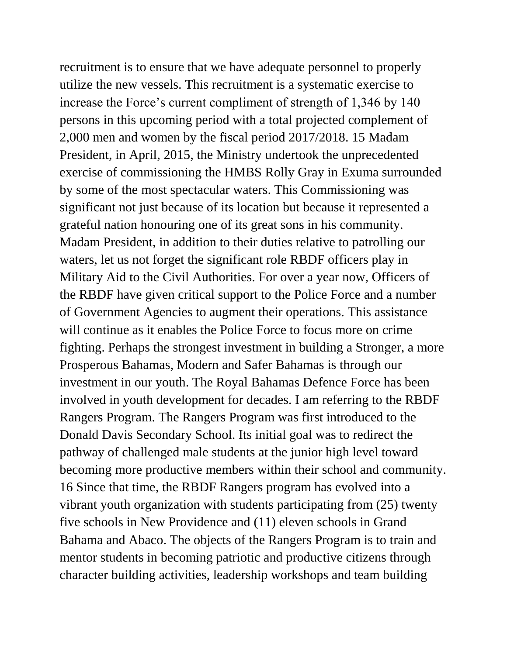recruitment is to ensure that we have adequate personnel to properly utilize the new vessels. This recruitment is a systematic exercise to increase the Force's current compliment of strength of 1,346 by 140 persons in this upcoming period with a total projected complement of 2,000 men and women by the fiscal period 2017/2018. 15 Madam President, in April, 2015, the Ministry undertook the unprecedented exercise of commissioning the HMBS Rolly Gray in Exuma surrounded by some of the most spectacular waters. This Commissioning was significant not just because of its location but because it represented a grateful nation honouring one of its great sons in his community. Madam President, in addition to their duties relative to patrolling our waters, let us not forget the significant role RBDF officers play in Military Aid to the Civil Authorities. For over a year now, Officers of the RBDF have given critical support to the Police Force and a number of Government Agencies to augment their operations. This assistance will continue as it enables the Police Force to focus more on crime fighting. Perhaps the strongest investment in building a Stronger, a more Prosperous Bahamas, Modern and Safer Bahamas is through our investment in our youth. The Royal Bahamas Defence Force has been involved in youth development for decades. I am referring to the RBDF Rangers Program. The Rangers Program was first introduced to the Donald Davis Secondary School. Its initial goal was to redirect the pathway of challenged male students at the junior high level toward becoming more productive members within their school and community. 16 Since that time, the RBDF Rangers program has evolved into a vibrant youth organization with students participating from (25) twenty five schools in New Providence and (11) eleven schools in Grand Bahama and Abaco. The objects of the Rangers Program is to train and mentor students in becoming patriotic and productive citizens through character building activities, leadership workshops and team building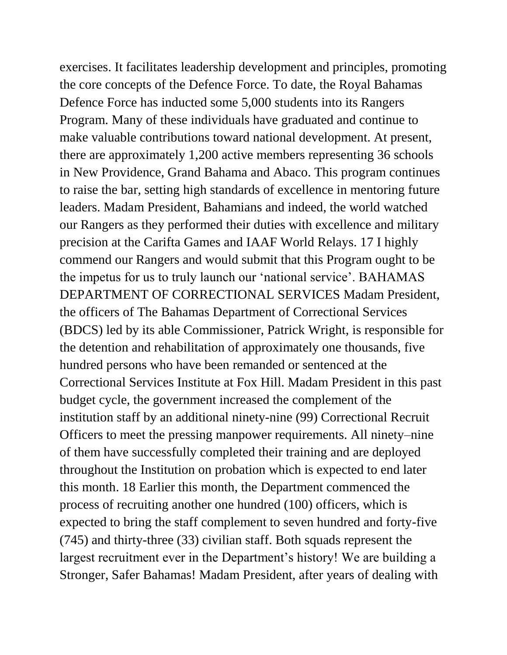exercises. It facilitates leadership development and principles, promoting the core concepts of the Defence Force. To date, the Royal Bahamas Defence Force has inducted some 5,000 students into its Rangers Program. Many of these individuals have graduated and continue to make valuable contributions toward national development. At present, there are approximately 1,200 active members representing 36 schools in New Providence, Grand Bahama and Abaco. This program continues to raise the bar, setting high standards of excellence in mentoring future leaders. Madam President, Bahamians and indeed, the world watched our Rangers as they performed their duties with excellence and military precision at the Carifta Games and IAAF World Relays. 17 I highly commend our Rangers and would submit that this Program ought to be the impetus for us to truly launch our 'national service'. BAHAMAS DEPARTMENT OF CORRECTIONAL SERVICES Madam President, the officers of The Bahamas Department of Correctional Services (BDCS) led by its able Commissioner, Patrick Wright, is responsible for the detention and rehabilitation of approximately one thousands, five hundred persons who have been remanded or sentenced at the Correctional Services Institute at Fox Hill. Madam President in this past budget cycle, the government increased the complement of the institution staff by an additional ninety-nine (99) Correctional Recruit Officers to meet the pressing manpower requirements. All ninety–nine of them have successfully completed their training and are deployed throughout the Institution on probation which is expected to end later this month. 18 Earlier this month, the Department commenced the process of recruiting another one hundred (100) officers, which is expected to bring the staff complement to seven hundred and forty-five (745) and thirty-three (33) civilian staff. Both squads represent the largest recruitment ever in the Department's history! We are building a Stronger, Safer Bahamas! Madam President, after years of dealing with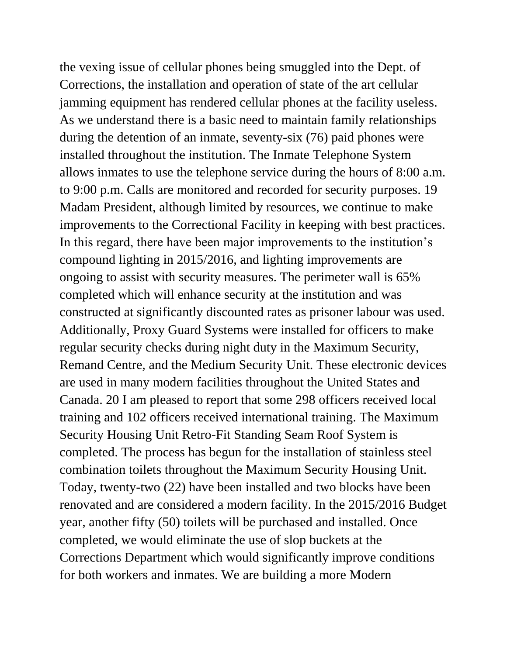the vexing issue of cellular phones being smuggled into the Dept. of Corrections, the installation and operation of state of the art cellular jamming equipment has rendered cellular phones at the facility useless. As we understand there is a basic need to maintain family relationships during the detention of an inmate, seventy-six (76) paid phones were installed throughout the institution. The Inmate Telephone System allows inmates to use the telephone service during the hours of 8:00 a.m. to 9:00 p.m. Calls are monitored and recorded for security purposes. 19 Madam President, although limited by resources, we continue to make improvements to the Correctional Facility in keeping with best practices. In this regard, there have been major improvements to the institution's compound lighting in 2015/2016, and lighting improvements are ongoing to assist with security measures. The perimeter wall is 65% completed which will enhance security at the institution and was constructed at significantly discounted rates as prisoner labour was used. Additionally, Proxy Guard Systems were installed for officers to make regular security checks during night duty in the Maximum Security, Remand Centre, and the Medium Security Unit. These electronic devices are used in many modern facilities throughout the United States and Canada. 20 I am pleased to report that some 298 officers received local training and 102 officers received international training. The Maximum Security Housing Unit Retro-Fit Standing Seam Roof System is completed. The process has begun for the installation of stainless steel combination toilets throughout the Maximum Security Housing Unit. Today, twenty-two (22) have been installed and two blocks have been renovated and are considered a modern facility. In the 2015/2016 Budget year, another fifty (50) toilets will be purchased and installed. Once completed, we would eliminate the use of slop buckets at the Corrections Department which would significantly improve conditions for both workers and inmates. We are building a more Modern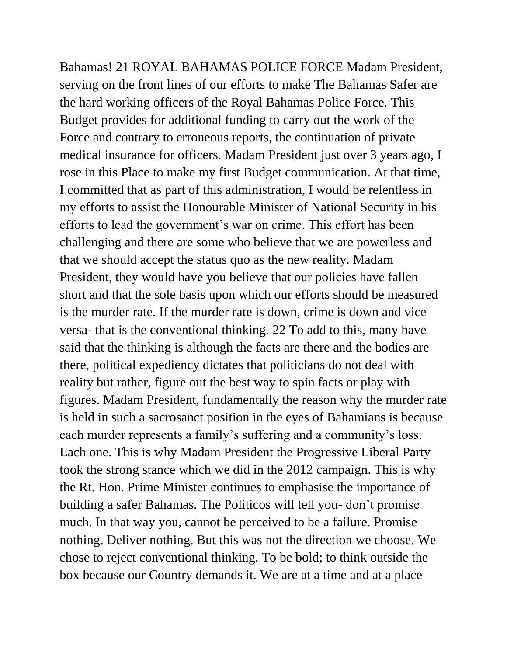Bahamas! 21 ROYAL BAHAMAS POLICE FORCE Madam President, serving on the front lines of our efforts to make The Bahamas Safer are the hard working officers of the Royal Bahamas Police Force. This Budget provides for additional funding to carry out the work of the Force and contrary to erroneous reports, the continuation of private medical insurance for officers. Madam President just over 3 years ago, I rose in this Place to make my first Budget communication. At that time, I committed that as part of this administration, I would be relentless in my efforts to assist the Honourable Minister of National Security in his efforts to lead the government's war on crime. This effort has been challenging and there are some who believe that we are powerless and that we should accept the status quo as the new reality. Madam President, they would have you believe that our policies have fallen short and that the sole basis upon which our efforts should be measured is the murder rate. If the murder rate is down, crime is down and vice versa- that is the conventional thinking. 22 To add to this, many have said that the thinking is although the facts are there and the bodies are there, political expediency dictates that politicians do not deal with reality but rather, figure out the best way to spin facts or play with figures. Madam President, fundamentally the reason why the murder rate is held in such a sacrosanct position in the eyes of Bahamians is because each murder represents a family's suffering and a community's loss. Each one. This is why Madam President the Progressive Liberal Party took the strong stance which we did in the 2012 campaign. This is why the Rt. Hon. Prime Minister continues to emphasise the importance of building a safer Bahamas. The Politicos will tell you- don't promise much. In that way you, cannot be perceived to be a failure. Promise nothing. Deliver nothing. But this was not the direction we choose. We chose to reject conventional thinking. To be bold; to think outside the box because our Country demands it. We are at a time and at a place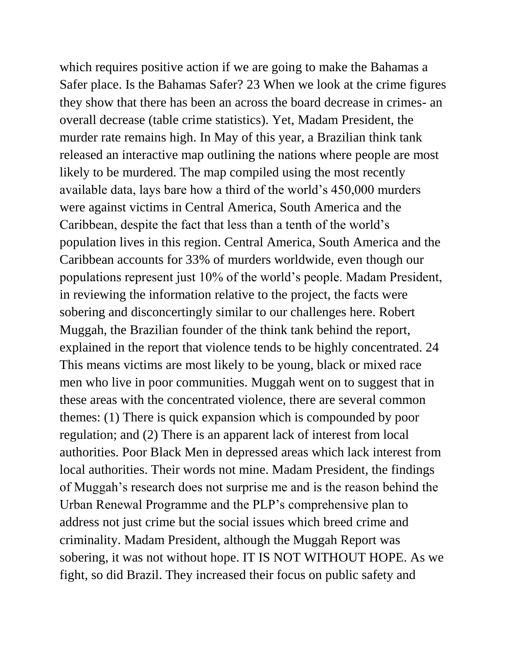which requires positive action if we are going to make the Bahamas a Safer place. Is the Bahamas Safer? 23 When we look at the crime figures they show that there has been an across the board decrease in crimes- an overall decrease (table crime statistics). Yet, Madam President, the murder rate remains high. In May of this year, a Brazilian think tank released an interactive map outlining the nations where people are most likely to be murdered. The map compiled using the most recently available data, lays bare how a third of the world's 450,000 murders were against victims in Central America, South America and the Caribbean, despite the fact that less than a tenth of the world's population lives in this region. Central America, South America and the Caribbean accounts for 33% of murders worldwide, even though our populations represent just 10% of the world's people. Madam President, in reviewing the information relative to the project, the facts were sobering and disconcertingly similar to our challenges here. Robert Muggah, the Brazilian founder of the think tank behind the report, explained in the report that violence tends to be highly concentrated. 24 This means victims are most likely to be young, black or mixed race men who live in poor communities. Muggah went on to suggest that in these areas with the concentrated violence, there are several common themes: (1) There is quick expansion which is compounded by poor regulation; and (2) There is an apparent lack of interest from local authorities. Poor Black Men in depressed areas which lack interest from local authorities. Their words not mine. Madam President, the findings of Muggah's research does not surprise me and is the reason behind the Urban Renewal Programme and the PLP's comprehensive plan to address not just crime but the social issues which breed crime and criminality. Madam President, although the Muggah Report was sobering, it was not without hope. IT IS NOT WITHOUT HOPE. As we fight, so did Brazil. They increased their focus on public safety and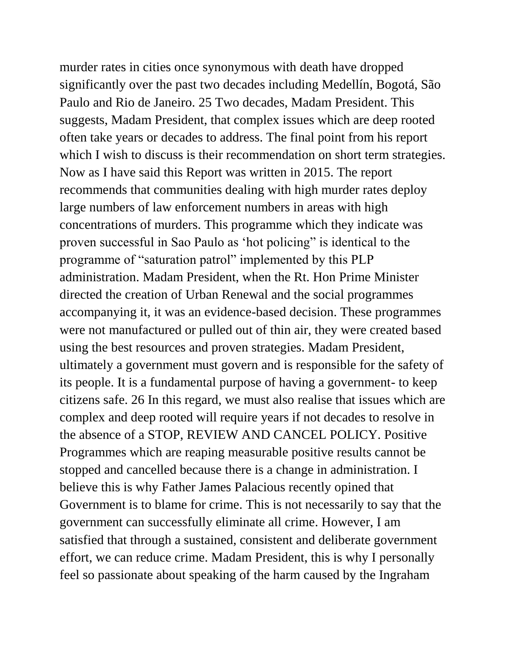murder rates in cities once synonymous with death have dropped significantly over the past two decades including Medellín, Bogotá, São Paulo and Rio de Janeiro. 25 Two decades, Madam President. This suggests, Madam President, that complex issues which are deep rooted often take years or decades to address. The final point from his report which I wish to discuss is their recommendation on short term strategies. Now as I have said this Report was written in 2015. The report recommends that communities dealing with high murder rates deploy large numbers of law enforcement numbers in areas with high concentrations of murders. This programme which they indicate was proven successful in Sao Paulo as 'hot policing" is identical to the programme of "saturation patrol" implemented by this PLP administration. Madam President, when the Rt. Hon Prime Minister directed the creation of Urban Renewal and the social programmes accompanying it, it was an evidence-based decision. These programmes were not manufactured or pulled out of thin air, they were created based using the best resources and proven strategies. Madam President, ultimately a government must govern and is responsible for the safety of its people. It is a fundamental purpose of having a government- to keep citizens safe. 26 In this regard, we must also realise that issues which are complex and deep rooted will require years if not decades to resolve in the absence of a STOP, REVIEW AND CANCEL POLICY. Positive Programmes which are reaping measurable positive results cannot be stopped and cancelled because there is a change in administration. I believe this is why Father James Palacious recently opined that Government is to blame for crime. This is not necessarily to say that the government can successfully eliminate all crime. However, I am satisfied that through a sustained, consistent and deliberate government effort, we can reduce crime. Madam President, this is why I personally feel so passionate about speaking of the harm caused by the Ingraham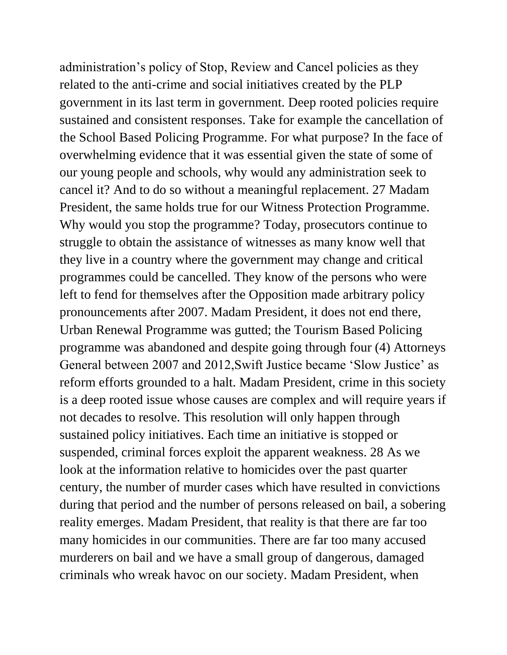administration's policy of Stop, Review and Cancel policies as they related to the anti-crime and social initiatives created by the PLP government in its last term in government. Deep rooted policies require sustained and consistent responses. Take for example the cancellation of the School Based Policing Programme. For what purpose? In the face of overwhelming evidence that it was essential given the state of some of our young people and schools, why would any administration seek to cancel it? And to do so without a meaningful replacement. 27 Madam President, the same holds true for our Witness Protection Programme. Why would you stop the programme? Today, prosecutors continue to struggle to obtain the assistance of witnesses as many know well that they live in a country where the government may change and critical programmes could be cancelled. They know of the persons who were left to fend for themselves after the Opposition made arbitrary policy pronouncements after 2007. Madam President, it does not end there, Urban Renewal Programme was gutted; the Tourism Based Policing programme was abandoned and despite going through four (4) Attorneys General between 2007 and 2012,Swift Justice became 'Slow Justice' as reform efforts grounded to a halt. Madam President, crime in this society is a deep rooted issue whose causes are complex and will require years if not decades to resolve. This resolution will only happen through sustained policy initiatives. Each time an initiative is stopped or suspended, criminal forces exploit the apparent weakness. 28 As we look at the information relative to homicides over the past quarter century, the number of murder cases which have resulted in convictions during that period and the number of persons released on bail, a sobering reality emerges. Madam President, that reality is that there are far too many homicides in our communities. There are far too many accused murderers on bail and we have a small group of dangerous, damaged criminals who wreak havoc on our society. Madam President, when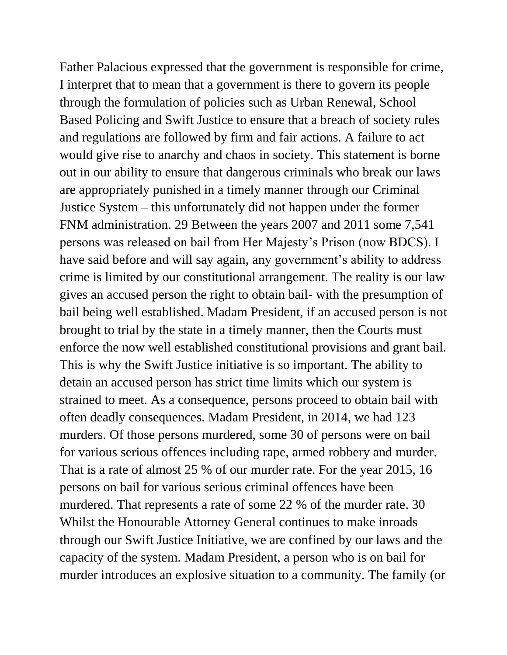Father Palacious expressed that the government is responsible for crime, I interpret that to mean that a government is there to govern its people through the formulation of policies such as Urban Renewal, School Based Policing and Swift Justice to ensure that a breach of society rules and regulations are followed by firm and fair actions. A failure to act would give rise to anarchy and chaos in society. This statement is borne out in our ability to ensure that dangerous criminals who break our laws are appropriately punished in a timely manner through our Criminal Justice System – this unfortunately did not happen under the former FNM administration. 29 Between the years 2007 and 2011 some 7,541 persons was released on bail from Her Majesty's Prison (now BDCS). I have said before and will say again, any government's ability to address crime is limited by our constitutional arrangement. The reality is our law gives an accused person the right to obtain bail- with the presumption of bail being well established. Madam President, if an accused person is not brought to trial by the state in a timely manner, then the Courts must enforce the now well established constitutional provisions and grant bail. This is why the Swift Justice initiative is so important. The ability to detain an accused person has strict time limits which our system is strained to meet. As a consequence, persons proceed to obtain bail with often deadly consequences. Madam President, in 2014, we had 123 murders. Of those persons murdered, some 30 of persons were on bail for various serious offences including rape, armed robbery and murder. That is a rate of almost 25 % of our murder rate. For the year 2015, 16 persons on bail for various serious criminal offences have been murdered. That represents a rate of some 22 % of the murder rate. 30 Whilst the Honourable Attorney General continues to make inroads through our Swift Justice Initiative, we are confined by our laws and the capacity of the system. Madam President, a person who is on bail for murder introduces an explosive situation to a community. The family (or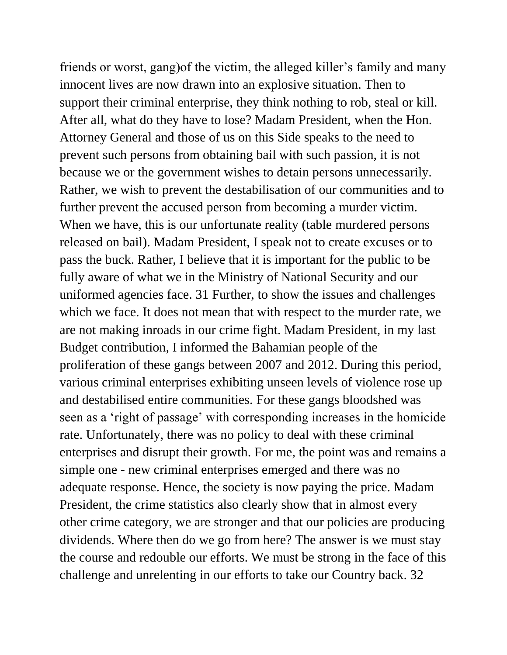friends or worst, gang)of the victim, the alleged killer's family and many innocent lives are now drawn into an explosive situation. Then to support their criminal enterprise, they think nothing to rob, steal or kill. After all, what do they have to lose? Madam President, when the Hon. Attorney General and those of us on this Side speaks to the need to prevent such persons from obtaining bail with such passion, it is not because we or the government wishes to detain persons unnecessarily. Rather, we wish to prevent the destabilisation of our communities and to further prevent the accused person from becoming a murder victim. When we have, this is our unfortunate reality (table murdered persons released on bail). Madam President, I speak not to create excuses or to pass the buck. Rather, I believe that it is important for the public to be fully aware of what we in the Ministry of National Security and our uniformed agencies face. 31 Further, to show the issues and challenges which we face. It does not mean that with respect to the murder rate, we are not making inroads in our crime fight. Madam President, in my last Budget contribution, I informed the Bahamian people of the proliferation of these gangs between 2007 and 2012. During this period, various criminal enterprises exhibiting unseen levels of violence rose up and destabilised entire communities. For these gangs bloodshed was seen as a 'right of passage' with corresponding increases in the homicide rate. Unfortunately, there was no policy to deal with these criminal enterprises and disrupt their growth. For me, the point was and remains a simple one - new criminal enterprises emerged and there was no adequate response. Hence, the society is now paying the price. Madam President, the crime statistics also clearly show that in almost every other crime category, we are stronger and that our policies are producing dividends. Where then do we go from here? The answer is we must stay the course and redouble our efforts. We must be strong in the face of this challenge and unrelenting in our efforts to take our Country back. 32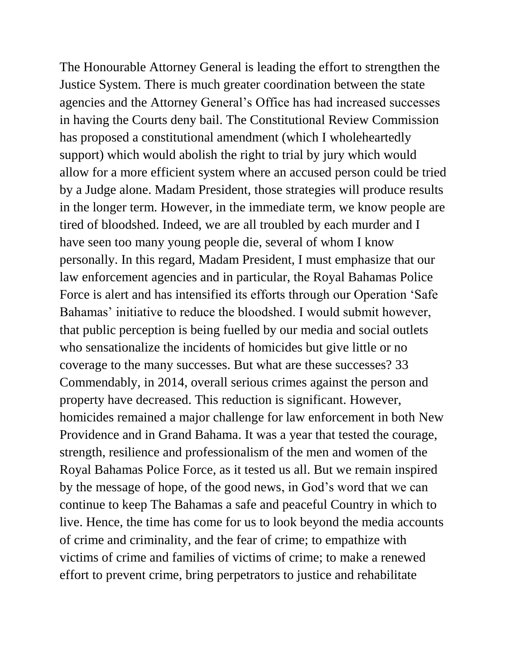The Honourable Attorney General is leading the effort to strengthen the Justice System. There is much greater coordination between the state agencies and the Attorney General's Office has had increased successes in having the Courts deny bail. The Constitutional Review Commission has proposed a constitutional amendment (which I wholeheartedly support) which would abolish the right to trial by jury which would allow for a more efficient system where an accused person could be tried by a Judge alone. Madam President, those strategies will produce results in the longer term. However, in the immediate term, we know people are tired of bloodshed. Indeed, we are all troubled by each murder and I have seen too many young people die, several of whom I know personally. In this regard, Madam President, I must emphasize that our law enforcement agencies and in particular, the Royal Bahamas Police Force is alert and has intensified its efforts through our Operation 'Safe Bahamas' initiative to reduce the bloodshed. I would submit however, that public perception is being fuelled by our media and social outlets who sensationalize the incidents of homicides but give little or no coverage to the many successes. But what are these successes? 33 Commendably, in 2014, overall serious crimes against the person and property have decreased. This reduction is significant. However, homicides remained a major challenge for law enforcement in both New Providence and in Grand Bahama. It was a year that tested the courage, strength, resilience and professionalism of the men and women of the Royal Bahamas Police Force, as it tested us all. But we remain inspired by the message of hope, of the good news, in God's word that we can continue to keep The Bahamas a safe and peaceful Country in which to live. Hence, the time has come for us to look beyond the media accounts of crime and criminality, and the fear of crime; to empathize with victims of crime and families of victims of crime; to make a renewed effort to prevent crime, bring perpetrators to justice and rehabilitate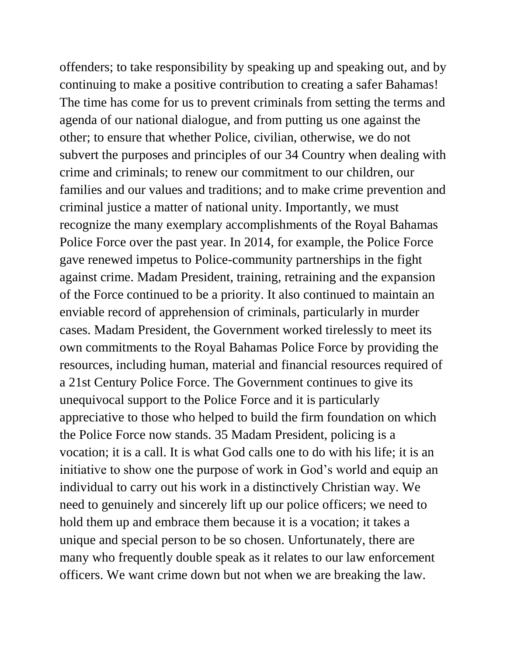offenders; to take responsibility by speaking up and speaking out, and by continuing to make a positive contribution to creating a safer Bahamas! The time has come for us to prevent criminals from setting the terms and agenda of our national dialogue, and from putting us one against the other; to ensure that whether Police, civilian, otherwise, we do not subvert the purposes and principles of our 34 Country when dealing with crime and criminals; to renew our commitment to our children, our families and our values and traditions; and to make crime prevention and criminal justice a matter of national unity. Importantly, we must recognize the many exemplary accomplishments of the Royal Bahamas Police Force over the past year. In 2014, for example, the Police Force gave renewed impetus to Police-community partnerships in the fight against crime. Madam President, training, retraining and the expansion of the Force continued to be a priority. It also continued to maintain an enviable record of apprehension of criminals, particularly in murder cases. Madam President, the Government worked tirelessly to meet its own commitments to the Royal Bahamas Police Force by providing the resources, including human, material and financial resources required of a 21st Century Police Force. The Government continues to give its unequivocal support to the Police Force and it is particularly appreciative to those who helped to build the firm foundation on which the Police Force now stands. 35 Madam President, policing is a vocation; it is a call. It is what God calls one to do with his life; it is an initiative to show one the purpose of work in God's world and equip an individual to carry out his work in a distinctively Christian way. We need to genuinely and sincerely lift up our police officers; we need to hold them up and embrace them because it is a vocation; it takes a unique and special person to be so chosen. Unfortunately, there are many who frequently double speak as it relates to our law enforcement officers. We want crime down but not when we are breaking the law.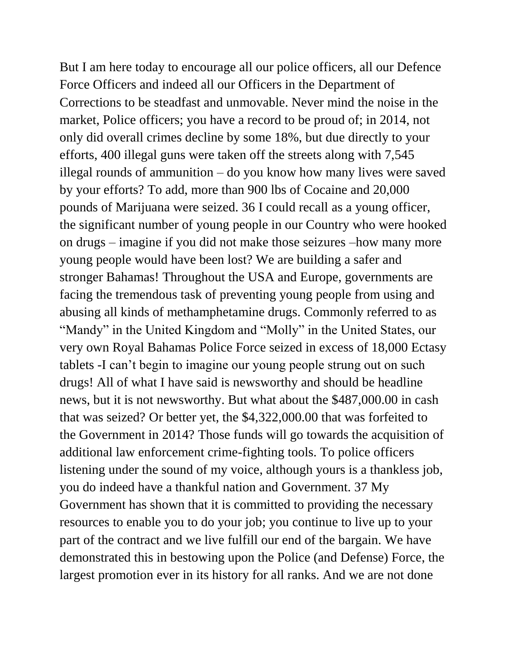But I am here today to encourage all our police officers, all our Defence Force Officers and indeed all our Officers in the Department of Corrections to be steadfast and unmovable. Never mind the noise in the market, Police officers; you have a record to be proud of; in 2014, not only did overall crimes decline by some 18%, but due directly to your efforts, 400 illegal guns were taken off the streets along with 7,545 illegal rounds of ammunition – do you know how many lives were saved by your efforts? To add, more than 900 lbs of Cocaine and 20,000 pounds of Marijuana were seized. 36 I could recall as a young officer, the significant number of young people in our Country who were hooked on drugs – imagine if you did not make those seizures –how many more young people would have been lost? We are building a safer and stronger Bahamas! Throughout the USA and Europe, governments are facing the tremendous task of preventing young people from using and abusing all kinds of methamphetamine drugs. Commonly referred to as "Mandy" in the United Kingdom and "Molly" in the United States, our very own Royal Bahamas Police Force seized in excess of 18,000 Ectasy tablets -I can't begin to imagine our young people strung out on such drugs! All of what I have said is newsworthy and should be headline news, but it is not newsworthy. But what about the \$487,000.00 in cash that was seized? Or better yet, the \$4,322,000.00 that was forfeited to the Government in 2014? Those funds will go towards the acquisition of additional law enforcement crime-fighting tools. To police officers listening under the sound of my voice, although yours is a thankless job, you do indeed have a thankful nation and Government. 37 My Government has shown that it is committed to providing the necessary resources to enable you to do your job; you continue to live up to your part of the contract and we live fulfill our end of the bargain. We have demonstrated this in bestowing upon the Police (and Defense) Force, the largest promotion ever in its history for all ranks. And we are not done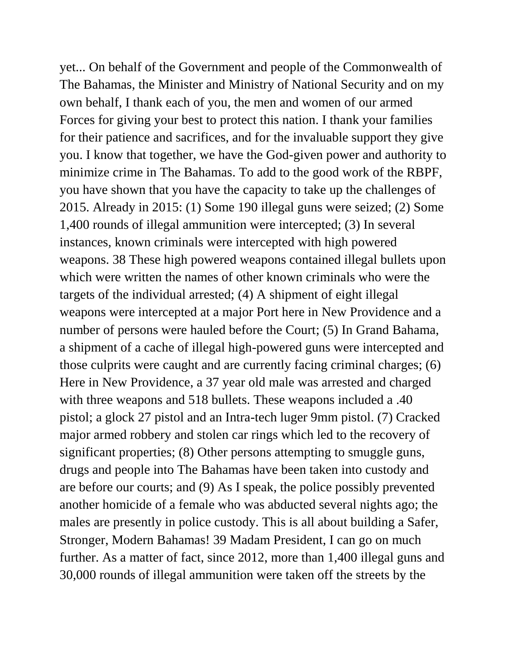yet... On behalf of the Government and people of the Commonwealth of The Bahamas, the Minister and Ministry of National Security and on my own behalf, I thank each of you, the men and women of our armed Forces for giving your best to protect this nation. I thank your families for their patience and sacrifices, and for the invaluable support they give you. I know that together, we have the God-given power and authority to minimize crime in The Bahamas. To add to the good work of the RBPF, you have shown that you have the capacity to take up the challenges of 2015. Already in 2015: (1) Some 190 illegal guns were seized; (2) Some 1,400 rounds of illegal ammunition were intercepted; (3) In several instances, known criminals were intercepted with high powered weapons. 38 These high powered weapons contained illegal bullets upon which were written the names of other known criminals who were the targets of the individual arrested; (4) A shipment of eight illegal weapons were intercepted at a major Port here in New Providence and a number of persons were hauled before the Court; (5) In Grand Bahama, a shipment of a cache of illegal high-powered guns were intercepted and those culprits were caught and are currently facing criminal charges; (6) Here in New Providence, a 37 year old male was arrested and charged with three weapons and 518 bullets. These weapons included a .40 pistol; a glock 27 pistol and an Intra-tech luger 9mm pistol. (7) Cracked major armed robbery and stolen car rings which led to the recovery of significant properties; (8) Other persons attempting to smuggle guns, drugs and people into The Bahamas have been taken into custody and are before our courts; and (9) As I speak, the police possibly prevented another homicide of a female who was abducted several nights ago; the males are presently in police custody. This is all about building a Safer, Stronger, Modern Bahamas! 39 Madam President, I can go on much further. As a matter of fact, since 2012, more than 1,400 illegal guns and 30,000 rounds of illegal ammunition were taken off the streets by the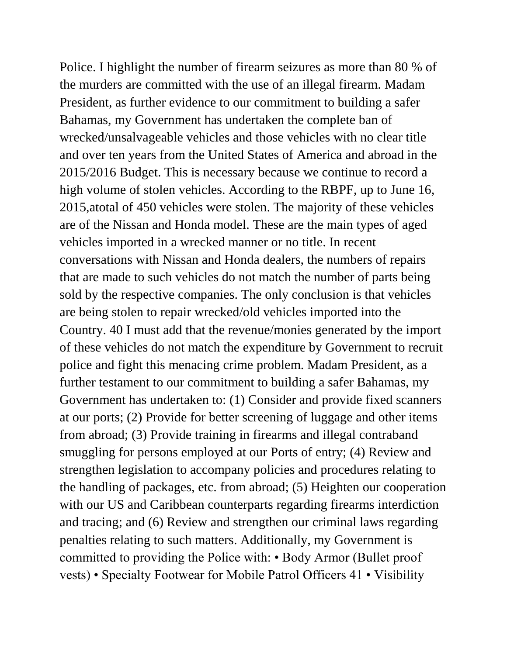Police. I highlight the number of firearm seizures as more than 80 % of the murders are committed with the use of an illegal firearm. Madam President, as further evidence to our commitment to building a safer Bahamas, my Government has undertaken the complete ban of wrecked/unsalvageable vehicles and those vehicles with no clear title and over ten years from the United States of America and abroad in the 2015/2016 Budget. This is necessary because we continue to record a high volume of stolen vehicles. According to the RBPF, up to June 16, 2015,atotal of 450 vehicles were stolen. The majority of these vehicles are of the Nissan and Honda model. These are the main types of aged vehicles imported in a wrecked manner or no title. In recent conversations with Nissan and Honda dealers, the numbers of repairs that are made to such vehicles do not match the number of parts being sold by the respective companies. The only conclusion is that vehicles are being stolen to repair wrecked/old vehicles imported into the Country. 40 I must add that the revenue/monies generated by the import of these vehicles do not match the expenditure by Government to recruit police and fight this menacing crime problem. Madam President, as a further testament to our commitment to building a safer Bahamas, my Government has undertaken to: (1) Consider and provide fixed scanners at our ports; (2) Provide for better screening of luggage and other items from abroad; (3) Provide training in firearms and illegal contraband smuggling for persons employed at our Ports of entry; (4) Review and strengthen legislation to accompany policies and procedures relating to the handling of packages, etc. from abroad; (5) Heighten our cooperation with our US and Caribbean counterparts regarding firearms interdiction and tracing; and (6) Review and strengthen our criminal laws regarding penalties relating to such matters. Additionally, my Government is committed to providing the Police with: • Body Armor (Bullet proof vests) • Specialty Footwear for Mobile Patrol Officers 41 • Visibility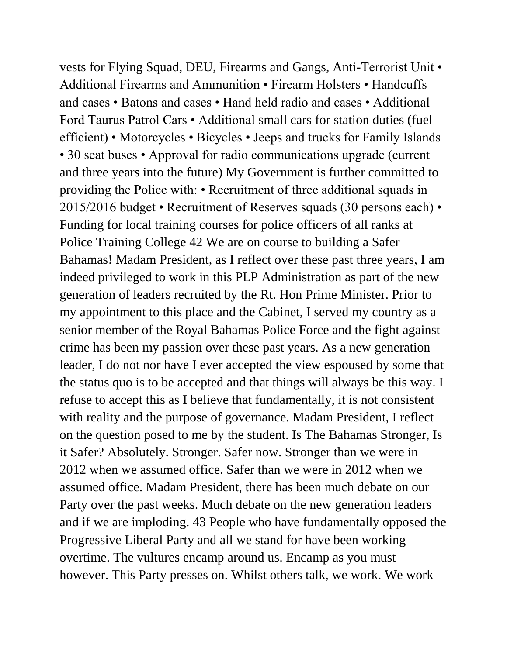vests for Flying Squad, DEU, Firearms and Gangs, Anti-Terrorist Unit • Additional Firearms and Ammunition • Firearm Holsters • Handcuffs and cases • Batons and cases • Hand held radio and cases • Additional Ford Taurus Patrol Cars • Additional small cars for station duties (fuel efficient) • Motorcycles • Bicycles • Jeeps and trucks for Family Islands • 30 seat buses • Approval for radio communications upgrade (current and three years into the future) My Government is further committed to providing the Police with: • Recruitment of three additional squads in 2015/2016 budget • Recruitment of Reserves squads (30 persons each) • Funding for local training courses for police officers of all ranks at Police Training College 42 We are on course to building a Safer Bahamas! Madam President, as I reflect over these past three years, I am indeed privileged to work in this PLP Administration as part of the new generation of leaders recruited by the Rt. Hon Prime Minister. Prior to my appointment to this place and the Cabinet, I served my country as a senior member of the Royal Bahamas Police Force and the fight against crime has been my passion over these past years. As a new generation leader, I do not nor have I ever accepted the view espoused by some that the status quo is to be accepted and that things will always be this way. I refuse to accept this as I believe that fundamentally, it is not consistent with reality and the purpose of governance. Madam President, I reflect on the question posed to me by the student. Is The Bahamas Stronger, Is it Safer? Absolutely. Stronger. Safer now. Stronger than we were in 2012 when we assumed office. Safer than we were in 2012 when we assumed office. Madam President, there has been much debate on our Party over the past weeks. Much debate on the new generation leaders and if we are imploding. 43 People who have fundamentally opposed the Progressive Liberal Party and all we stand for have been working overtime. The vultures encamp around us. Encamp as you must however. This Party presses on. Whilst others talk, we work. We work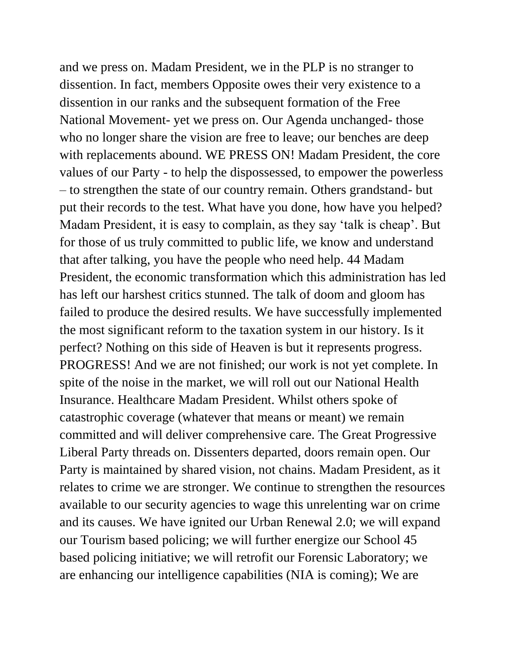and we press on. Madam President, we in the PLP is no stranger to dissention. In fact, members Opposite owes their very existence to a dissention in our ranks and the subsequent formation of the Free National Movement- yet we press on. Our Agenda unchanged- those who no longer share the vision are free to leave; our benches are deep with replacements abound. WE PRESS ON! Madam President, the core values of our Party - to help the dispossessed, to empower the powerless – to strengthen the state of our country remain. Others grandstand- but put their records to the test. What have you done, how have you helped? Madam President, it is easy to complain, as they say 'talk is cheap'. But for those of us truly committed to public life, we know and understand that after talking, you have the people who need help. 44 Madam President, the economic transformation which this administration has led has left our harshest critics stunned. The talk of doom and gloom has failed to produce the desired results. We have successfully implemented the most significant reform to the taxation system in our history. Is it perfect? Nothing on this side of Heaven is but it represents progress. PROGRESS! And we are not finished; our work is not yet complete. In spite of the noise in the market, we will roll out our National Health Insurance. Healthcare Madam President. Whilst others spoke of catastrophic coverage (whatever that means or meant) we remain committed and will deliver comprehensive care. The Great Progressive Liberal Party threads on. Dissenters departed, doors remain open. Our Party is maintained by shared vision, not chains. Madam President, as it relates to crime we are stronger. We continue to strengthen the resources available to our security agencies to wage this unrelenting war on crime and its causes. We have ignited our Urban Renewal 2.0; we will expand our Tourism based policing; we will further energize our School 45 based policing initiative; we will retrofit our Forensic Laboratory; we are enhancing our intelligence capabilities (NIA is coming); We are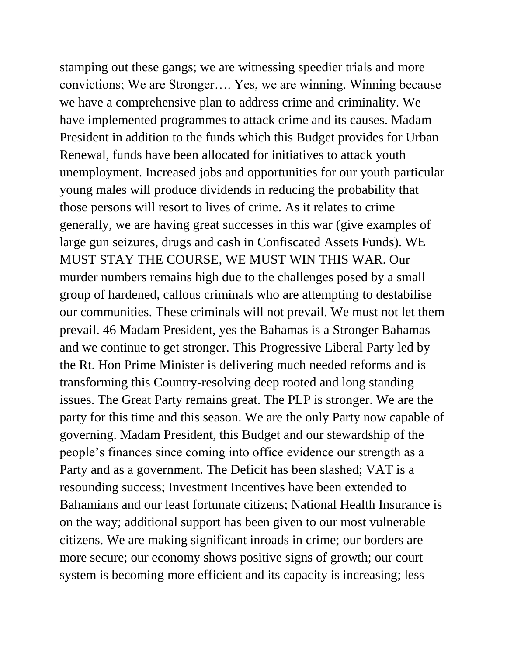stamping out these gangs; we are witnessing speedier trials and more convictions; We are Stronger…. Yes, we are winning. Winning because we have a comprehensive plan to address crime and criminality. We have implemented programmes to attack crime and its causes. Madam President in addition to the funds which this Budget provides for Urban Renewal, funds have been allocated for initiatives to attack youth unemployment. Increased jobs and opportunities for our youth particular young males will produce dividends in reducing the probability that those persons will resort to lives of crime. As it relates to crime generally, we are having great successes in this war (give examples of large gun seizures, drugs and cash in Confiscated Assets Funds). WE MUST STAY THE COURSE, WE MUST WIN THIS WAR. Our murder numbers remains high due to the challenges posed by a small group of hardened, callous criminals who are attempting to destabilise our communities. These criminals will not prevail. We must not let them prevail. 46 Madam President, yes the Bahamas is a Stronger Bahamas and we continue to get stronger. This Progressive Liberal Party led by the Rt. Hon Prime Minister is delivering much needed reforms and is transforming this Country-resolving deep rooted and long standing issues. The Great Party remains great. The PLP is stronger. We are the party for this time and this season. We are the only Party now capable of governing. Madam President, this Budget and our stewardship of the people's finances since coming into office evidence our strength as a Party and as a government. The Deficit has been slashed; VAT is a resounding success; Investment Incentives have been extended to Bahamians and our least fortunate citizens; National Health Insurance is on the way; additional support has been given to our most vulnerable citizens. We are making significant inroads in crime; our borders are more secure; our economy shows positive signs of growth; our court system is becoming more efficient and its capacity is increasing; less